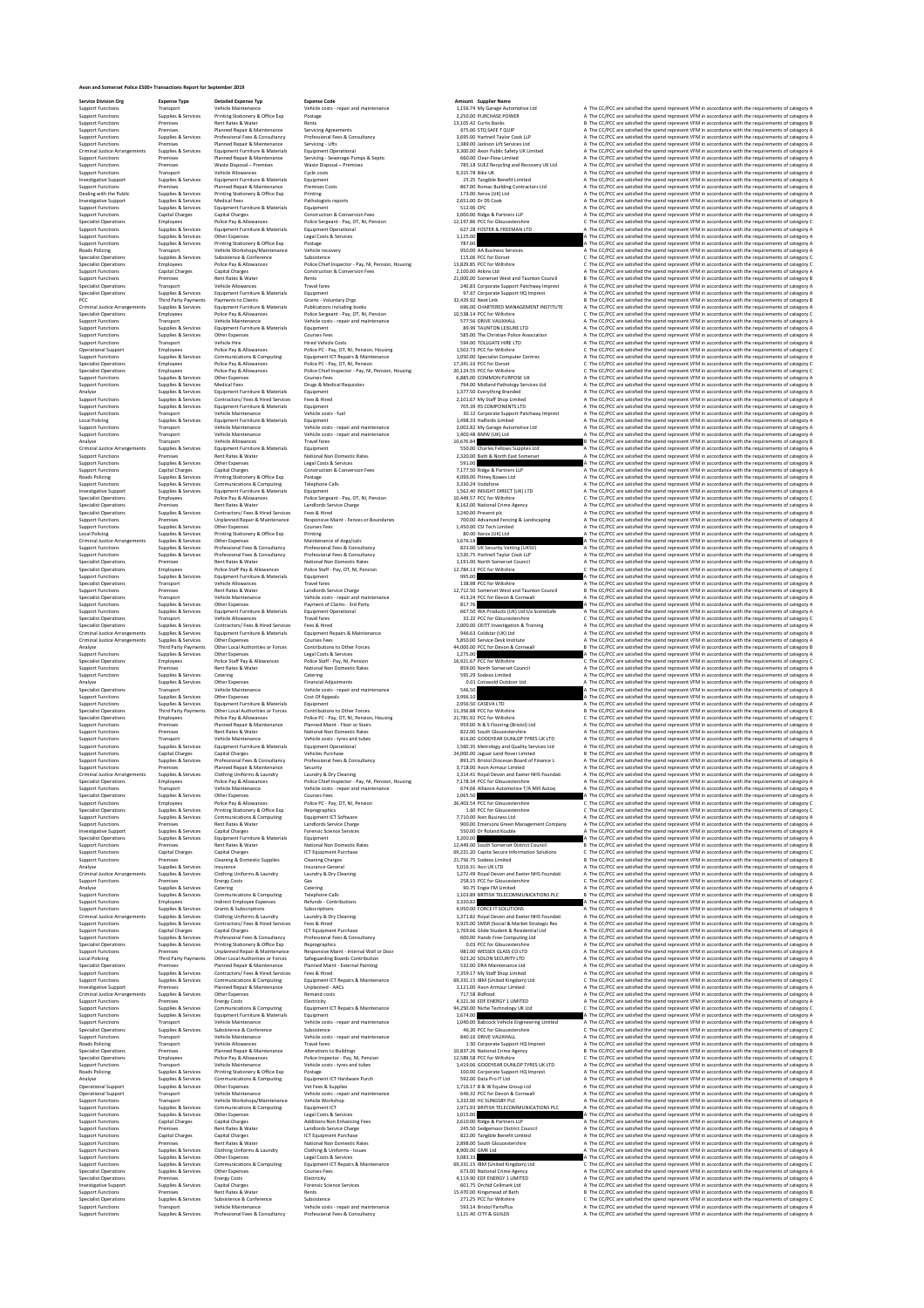**Dealed Experimental Sometics Police Experimental Sometics Police Experimental Sometics Properties Report & November 2019**<br> **Avon Bransactions Report & November 2019**<br> **Avon Bransactions Report & November 2019**<br> **Propertie** 

**Service Division Org Expense Type Detailed Expense Typ Expense Code Amount Supplier Name** Support Functions Transport Vehicle Maintenance Vehicle costs ‐ repair and maintenance 1,156.74 My Garage Automotive Ltd A The CC/PCC are satisfied the spend represent VFM in accordance with the requirements of category A Support Functions Supplies & Services Printing Stationery & Office Exp Postage 2,250.00 PURCHASE POWER A The CC/PCC are satisfied the spend represent VFM in accordance with the requirements of category A Support Functions Premises Rent Rates & Water Rents 13,105.42 Curtis Banks B The CC/PCC are satisfied the spend represent VFM in accordance with the requirements of category B Support Functions Premises Planned Repair & Maintenance Servicing Agreements 675.00 STQ SAFE T QUIP A The CC/PCC are satisfied the spend represent VFM in accordance with the requirements of category A Support Functions Supplies & Services Professional Fees & Consultancy Professional Fees & Consultancy 3,695.00 Hartnell Taylor Cook LLP A The CC/PCC are satisfied the spend represent VFM in accordance with the requirements of category A Support Functions Premises Planned Repair & Maintenance Servicing ‐ Lifts 1,389.00 Jackson Lift Services Ltd A The CC/PCC are satisfied the spend represent VFM in accordance with the requirements of category A Criminal Justice Arrangements Supplies & Services Equipment Furniture & Materials Equipment Operational 3,300.00 Axon Public Safety UK Limited A The CC/PCC are satisfied the spend represent VFM in accordance with the requirements of category A Support Functions Premises Planned Repair & Maintenance Servicing ‐ Sewerage Pumps & Septic 660.00 Clear‐Flow Limited A The CC/PCC are satisfied the spend represent VFM in accordance with the requirements of category A Support Functions Premises Waste Disposal – Premises Waste Disposal – Premises 785.18 SUEZ Recycling and Recovery UK Ltd A The CC/PCC are satisfied the spend represent VFM in accordance with the requirements of category A Support Functions Transport Vehicle Allowances Cycle costs 9,315.78 Bike UK A The CC/PCC are satisfied the spend represent VFM in accordance with the requirements of category A Investigative Support Supplies & Services Equipment Furniture & Materials Equipment 25.25 Tangible Benefit Limited A The CC/PCC are satisfied the spend represent VFM in accordance with the requirements of category A Support Functions Premises Planned Repair & Maintenance Premises Costs 867.00 Romac Building Contractors Ltd A The CC/PCC are satisfied the spend represent VFM in accordance with the requirements of category A Dealing with the Public Supplies & Services Printing Stationery & Office Exp Printing 173.00 Xerox (UK) Ltd A The CC/PCC are satisfied the spend represent VFM in accordance with the requirements of category A Investigative Support Supplies & Services Medical Fees Pathologists reports 2,651.00 Dr DS Cook A The CC/PCC are satisfied the spend represent VFM in accordance with the requirements of category A Support Functions Supplies & Services Equipment Furniture & Materials Equipment 512.06 CPC A The CC/PCC are satisfied the spend represent VFM in accordance with the requirements of category A Support Functions Capital Charges Capital Charges Construction & Conversion Fees 3,000.00 Ridge & Partners LLP A The CC/PCC are satisfied the spend represent VFM in accordance with the requirements of category A Specialist Operations Employees Police Pay & Allowances Police Sergeant ‐ Pay, OT, NI, Pension 12,197.86 PCC for Gloucestershire C The CC/PCC are satisfied the spend represent VFM in accordance with the requirements of category C Support Functions Supplies & Services Equipment Furniture & Materials Equipment Operational 627.28 FOSTER & FREEMAN LTD A The CC/PCC are satisfied the spend represent VFM in accordance with the requirements of category A Support Functions Supplies & Services Other Expenses Legal Costs & Services 1,125.00 A The CC/PCC are satisfied the spend represent VFM in accordance with the requirements of category A Support Functions Supplies & Services Printing Stationery & Office Exp Postage 787.00 A The CC/PCC are satisfied the spend represent VFM in accordance with the requirements of category A Roads Policing Transport Vehicle Workshops/Maintenance Vehicle recovery 950.00 AA Business Services A The CC/PCC are satisfied the spend represent VFM in accordance with the requirements of category A Specialist Operations Supplies & Services Subsistence & Conference Subsistence 115.06 PCC for Dorset C The CC/PCC are satisfied the spend represent VFM in accordance with the requirements of category C Specialist Operations Employees Police Pay & Allowances Police Chief Inspector ‐ Pay, NI, Pension, Housing 13,829.85 PCC for Wiltshire C The CC/PCC are satisfied the spend represent VFM in accordance with the requirements of category C Support Functions Capital Charges Capital Charges Construction & Conversion Fees 2,100.00 Atkins Ltd A The CC/PCC are satisfied the spend represent VFM in accordance with the requirements of category A Support Functions Premises Rent Rates & Water Rents 21,000.00 Somerset West and Taunton Council B The CC/PCC are satisfied the spend represent VFM in accordance with the requirements of category B Specialist Operations Transport Vehicle Allowances Travel fares 240.83 Corporate Support Patchway Imprest A The CC/PCC are satisfied the spend represent VFM in accordance with the requirements of category A Specialist Operations Supplies & Services Equipment Furniture & Materials Equipment 97.67 Corporate Support HQ Imprest A The CC/PCC are satisfied the spend represent VFM in accordance with the requirements of category A PCC Third Party Payments Payments to Clients Grants ‐ Voluntary Orgs 32,429.92 Next Link B The CC/PCC are satisfied the spend represent VFM in accordance with the requirements of category B Criminal Justice Arrangements Supplies & Services Equipment Furniture & Materials Publications including books 696.00 CHARTERED MANAGEMENT INSTITUTE A The CC/PCC are satisfied the spend represent VFM in accordance with the requirements of category A Specialist Operations Employees Police Pay & Allowances Police Sergeant ‐ Pay, OT, NI, Pension 10,538.14 PCC for Wiltshire C The CC/PCC are satisfied the spend represent VFM in accordance with the requirements of category C Support Functions Transport Vehicle Maintenance Vehicle costs ‐ repair and maintenance 577.56 DRIVE VAUXHALL A The CC/PCC are satisfied the spend represent VFM in accordance with the requirements of category A Support Functions Supplies & Services Equipment Furniture & Materials Equipment 89.99 TAUNTON LEISURE LTD A The CC/PCC are satisfied the spend represent VFM in accordance with the requirements of category A Support Functions Supplies & Services Other Expenses Courses Fees 585.00 The Christian Police Association A The CC/PCC are satisfied the spend represent VFM in accordance with the requirements of category A Support Functions Transport Vehicle Hire Hired Vehicle Costs 594.00 TOLLGATE HIRE LTD A The CC/PCC are satisfied the spend represent VFM in accordance with the requirements of category A Operational Support Employees Police Pay & Allowances Police PC ‐ Pay, OT, NI, Pension, Housing 1,502.73 PCC for Wiltshire C The CC/PCC are satisfied the spend represent VFM in accordance with the requirements of category C Support Functions Supplies & Services Communications & Computing Equipment ICT Repairs & Maintenance 1,050.00 Specialist Computer Centres A The CC/PCC are satisfied the spend represent VFM in accordance with the requirements of category A Specialist Operations Employees Police Pay & Allowances Police PC ‐ Pay, OT, NI, Pension 17,341.16 PCC for Dorset C The CC/PCC are satisfied the spend represent VFM in accordance with the requirements of category C Specialist Operations Employees Police Pay & Allowances Police Chief Inspector ‐ Pay, NI, Pension, Housing 20,124.55 PCC for Wiltshire C The CC/PCC are satisfied the spend represent VFM in accordance with the requirements of category C Support Functions Supplies & Services Other Expenses Courses Fees 6,885.00 COMMON PURPOSE UK A The CC/PCC are satisfied the spend represent VFM in accordance with the requirements of category A Support Functions Supplies & Services Medical Fees Drugs & Medical Requisites 794.00 Midland Pathology Services Ltd A The CC/PCC are satisfied the spend represent VFM in accordance with the requirements of category A Analyse Supplies & Services Equipment Furniture & Materials Equipment 1,377.50 Everything Branded A The CC/PCC are satisfied the spend represent VFM in accordance with the requirements of category A Support Functions Supplies & Services Contractors/ Fees & Hired Services Fees & Hired 2,101.67 My Staff Shop Limited A The CC/PCC are satisfied the spend represent VFM in accordance with the requirements of category A Support Functions Supplies & Services Equipment Furniture & Materials Equipment 705.39 RS COMPONENTS LTD A The CC/PCC are satisfied the spend represent VFM in accordance with the requirements of category A  $\textit{ConPerfunctors}\footnotesize\begin{bmatrix} \textit{Cipac} \\ \textit{Supnet} \\ \textit{Cupnet} \\ \textit{Cupnet} \\ \textit{Cupnet} \\ \textit{Cupnet} \\ \textit{Cupnet} \\ \textit{Cupnet} \\ \textit{Cupnet} \\ \textit{Cupnet} \\ \textit{Cupnet} \\ \textit{Cupnet} \\ \textit{Cupnet} \\ \textit{Cupnet} \\ \textit{Cupnet} \\ \textit{Cupnet} \\ \textit{Cupnet} \\ \textit{Cupnet} \\ \textit{Cupnet} \\ \textit{Cupnet} \\ \textit{Cupnet} \\ \textit{Cupnet} \\ \textit{$ Support method of the Control of Same Service (Lagi OSIS ENGLISH) Support and Controlled the existence of the COCL of Controlled the existence of the COCL of Controlled the existence of the COCL of the COCL of the control Roads Poling (Allegearce Manual America Companies of the Manual American Manual American American Supplement Manual Services (Allegearce Manual American Manual American Manual American Manual American Manual American Manua Specially Depress Franchise Province (September 2002) Provides (Specially and the CONSTRICT Constant of CONSTRICT Constant Constant Constant Constant Constant Constant Constant Constant Constant Constant Constant Constant Local Policing Supplies & Services Printing Stationery & Office Exp Printing 80.00 Xerox (UK) Ltd A The CC/PCC are satisfied the spend represent VFM in accordance with the requirements of category A Criminal Justice Arrangements Supplies & Services Other Expenses Maintenance of dogs/cats 1,676.18 A The CC/PCC are satisfied the spend represent VFM in accordance with the requirements of category A Support Functions Supplies & Services Professional Fees & Consultancy Professional Fees & Consultancy 823.00 UK Security Vetting (UKSV) A The CC/PCC are satisfied the spend represent VFM in accordance with the requirements of category A Support Functions Supplies & Services Professional Fees & Consultancy Professional Fees & Consultancy 1,520.75 Hartnell Taylor Cook LLP A The CC/PCC are satisfied the spend represent VFM in accordance with the requirements of category A Specialist Operations Premises Rent Rates & Water National Non Domestic Rates 1,191.00 North Somerset Council A The CC/PCC are satisfied the spend represent VFM in accordance with the requirements of category A Specialist Operations Employees Police Staff Pay & Allowances Police Staff ‐ Pay, OT, NI, Pension 12,784.13 PCC for Wiltshire C The CC/PCC are satisfied the spend represent VFM in accordance with the requirements of category C Support Functions Supplies & Services Equipment Furniture & Materials Equipment 995.00 A The CC/PCC are satisfied the spend represent VFM in accordance with the requirements of category A Specialist Operations Transport Vehicle Allowances Travel fares 138.98 PCC for Wiltshire A The CC/PCC are satisfied the spend represent VFM in accordance with the requirements of category A Support Functions Premises Rent Rates & Water Landlords Service Charge 12,712.50 Somerset West and Taunton Council B The CC/PCC are satisfied the spend represent VFM in accordance with the requirements of category B  $\textit{Sap}_\textit{Sap}_\textit{Sap}_\textit{Sap}_\textit{Sap}_\textit{Sap}_\textit{Sap}_\textit{Sap}_\textit{Sap}_\textit{Sap}_\textit{Sap}_\textit{Sap}_\textit{Sap}_\textit{Sap}_\textit{Sap}_\textit{Sap}_\textit{Sap}_\textit{Sap}_\textit{Sap}_\textit{Sap}_\textit{Sap}_\textit{Sap}_\textit{Sap}_\textit{Sap}_\textit{Sap}_\textit{Sap}_\textit{Sap}_\textit{Sap}_\textit{Sap}_\textit{Sap}_\textit{Sap}_\textit$  $\textit{Sup}(Fourations) \textit{Sup}(Fourations) \textit{Sup}(Fourations) \textit{Sup}(Fourations) \textit{Sup}(Fourations) \textit{Sup}(Fourations) \textit{Sup}(Fourations) \textit{Sup}(Fourations) \textit{Sup}(Fourations) \textit{Sup}(Fourations) \textit{Sup}(Fourations) \textit{Sup}(Fourations) \textit{Sup}(Fourations) \textit{Sup}(Fourations) \textit{Sup}(Fourations) \textit{Sup}(Fourations) \textit{Sup}(Fourations) \textit{Sup}(Fourations) \textit{Sup}(Fourations) \textit{Sup}(Fourations) \textit{Sup}(Fourations) \textit{Sup}(Fourations)$ Support Functions Supplies & Services Professional Fees & Consultancy Professional Fees & Consultancy 893.25 Bristol Diocesan Board of Finance L A The CC/PCC are satisfied the spend represent VFM in accordance with the requirements of category A Support Functions Premises Planned Repair & Maintenance Security 3,718.00 Avon Armour Limited A The CC/PCC are satisfied the spend represent VFM in accordance with the requirements of category A Criminal Justice Arrangements Supplies & Services Clothing Uniforms & Laundry Laundry & Dry Cleaning 1,314.41 Royal Devon and Exeter NHS Foundati A The CC/PCC are satisfied the spend represent VFM in accordance with the requirements of category A Specialist Operations Employees Police Pay & Allowances Police Chief Inspector ‐ Pay, NI, Pension, Housing 7,178.34 PCC for Gloucestershire A The CC/PCC are satisfied the spend represent VFM in accordance with the requirements of category A Support Functions Transport Vehicle Maintenance Vehicle costs ‐ repair and maintenance 674.66 Alliance Automotive T/A Mill Autoq A The CC/PCC are satisfied the spend represent VFM in accordance with the requirements of category A Specialist Operations Supplies & Services Other Expenses Courses Fees 1,065.50 A The CC/PCC are satisfied the spend represent VFM in accordance with the requirements of category A Support Functions Employees Police Pay & Allowances Police PC ‐ Pay, OT, NI, Pension 26,403.54 PCC for Gloucestershire C The CC/PCC are satisfied the spend represent VFM in accordance with the requirements of category C Specialist Operations Supplies & Services Printing Stationery & Office Exp Reprographics 1.60 PCC for Gloucestershire C The CC/PCC are satisfied the spend represent VFM in accordance with the requirements of category C Support Functions Supplies & Services Communications & Computing Equipment ICT Software 7,710.00 Iken Business Ltd A The CC/PCC are satisfied the spend represent VFM in accordance with the requirements of category A Support Functions Premises Rent Rates & Water Landlords Service Charge 900.00 Emersons Green Management Company A The CC/PCC are satisfied the spend represent VFM in accordance with the requirements of category A Investigative Support Supplies & Services Capital Charges Forensic Science Services 550.00 Dr Roland Kouble A The CC/PCC are satisfied the spend represent VFM in accordance with the requirements of category A Specialist Operations Supplies & Services Equipment Furniture & Materials Equipment 3,200.00 A The CC/PCC are satisfied the spend represent VFM in accordance with the requirements of category A Support Functions Premises Rent Rates & Water National Non Domestic Rates 12,449.00 South Somerset District Council B The CC/PCC are satisfied the spend represent VFM in accordance with the requirements of category B Support Functions Capital Charges Capital Charges ICT Equipment Purchase 69,221.20 Capita Secure Information Solutions C The CC/PCC are satisfied the spend represent VFM in accordance with the requirements of category C Support Functions Premises Cleaning & Domestic Supplies Cleaning Charges 21,756.75 Sodexo Limited B The CC/PCC are satisfied the spend represent VFM in accordance with the requirements of category B Analyse Supplies & Services Insurance Insurance General 5,016.31 Aon UK LTD A The CC/PCC are satisfied the spend represent VFM in accordance with the requirements of category A Criminal Justice Arrangements Supplies & Services Clothing Uniforms & Laundry Laundry & Dry Cleaning 1,272.49 Royal Devon and Exeter NHS Foundati A The CC/PCC are satisfied the spend represent VFM in accordance with the requirements of category A Support Functions Premises Energy Costs Gas 258.15 PCC for Gloucestershire C The CC/PCC are satisfied the spend represent VFM in accordance with the requirements of category C Analyse Supplies & Services Catering Catering 90.75 Engie FM Limited A The CC/PCC are satisfied the spend represent VFM in accordance with the requirements of category A Support Functions Supplies & Services Communications & Computing Telephone Calls 1,103.89 BRITISH TELECOMMUNICATIONS PLC B The CC/PCC are satisfied the spend represent VFM in accordance with the requirements of category B Support Functions Employees Indirect Employee Expenses Refunds ‐ Contributions 3,320.82 A The CC/PCC are satisfied the spend represent VFM in accordance with the requirements of category A Support Functions Supplies & Services Grants & Subscriptions Subscriptions 4,950.00 FORCE IT SOLUTIONS A The CC/PCC are satisfied the spend represent VFM in accordance with the requirements of category A Criminal Justice Arrangements Supplies & Services Clothing Uniforms & Laundry Laundry & Dry Cleaning 1,371.82 Royal Devon and Exeter NHS Foundati A The CC/PCC are satisfied the spend represent VFM in accordance with the requirements of category A Support Functions Supplies & Services Contractors/ Fees & Hired Services Fees & Hired 9,925.00 SMSR (Social & Market Strategic Res A The CC/PCC are satisfied the spend represent VFM in accordance with the requirements of category A Support Functions Capital Charges Capital Charges ICT Equipment Purchase 1,769.66 Glide Student & Residential Ltd A The CC/PCC are satisfied the spend represent VFM in accordance with the requirements of category A Support Functions Supplies & Services Professional Fees & Consultancy Professional Fees & Consultancy 600.00 Hands Free Computing Ltd A The CC/PCC are satisfied the spend represent VFM in accordance with the requirements of category A Specialist Operations Supplies & Services Printing Stationery & Office Exp Reprographics 0.03 PCC for Gloucestershire A The CC/PCC are satisfied the spend represent VFM in accordance with the requirements of category A Support Functions Premises Unplanned Repair & Maintenance Responsive Maint ‐ Internal Wall or Door 981.00 WESSEX GLASS CO LTD A The CC/PCC are satisfied the spend represent VFM in accordance with the requirements of category A Local Policing Third Party Payments Other Local Authorities or Forces Safeguarding Boards Contribution 923.20 SOLON SECURITY LTD A The CC/PCC are satisfied the spend represent VFM in accordance with the requirements of category A Specialist Operations Premises Planned Repair & Maintenance Planned Maint ‐ External Painting 532.00 DRA Maintenance Ltd A The CC/PCC are satisfied the spend represent VFM in accordance with the requirements of category A Support Functions Supplies & Services Contractors/ Fees & Hired Services Fees & Hired 7,359.17 My Staff Shop Limited A The CC/PCC are satisfied the spend represent VFM in accordance with the requirements of category A Support Functions Supplies & Services Communications & Computing Equipment ICT Repairs & Maintenance 69,331.15 IBM (United Kingdom) Ltd C The CC/PCC are satisfied the spend represent VFM in accordance with the requirements of category C Investigative Support Premises Planned Repair & Maintenance Unplanned ‐ AACs 1,121.00 Avon Armour Limited A The CC/PCC are satisfied the spend represent VFM in accordance with the requirements of category A Criminal Justice Arrangements Supplies & Services Other Expenses Remand costs 717.58 Bidfood A The CC/PCC are satisfied the spend represent VFM in accordance with the requirements of category A Support Functions Premises Energy Costs Electricity 4,321.36 EDF ENERGY 1 LIMITED A The CC/PCC are satisfied the spend represent VFM in accordance with the requirements of category A Support Functions Supplies & Services Communications & Computing Equipment ICT Repairs & Maintenance 94,250.00 Niche Technology UK Ltd C The CC/PCC are satisfied the spend represent VFM in accordance with the requirements of category C Support Functions Supplies & Services Equipment Furniture & Materials Equipment 1,674.00 A The CC/PCC are satisfied the spend represent VFM in accordance with the requirements of category A Support Functions Transport Vehicle Maintenance Vehicle costs ‐ repair and maintenance 1,040.00 Babcock Vehicle Engineering Limited A The CC/PCC are satisfied the spend represent VFM in accordance with the requirements of category A Specialist Operations Supplies & Services Subsistence & Conference Subsistence 46.20 PCC for Gloucestershire C The CC/PCC are satisfied the spend represent VFM in accordance with the requirements of category C Support Functions Transport Vehicle Maintenance Vehicle costs ‐ repair and maintenance 840.16 DRIVE VAUXHALL A The CC/PCC are satisfied the spend represent VFM in accordance with the requirements of category A Roads Policing Transport Vehicle Allowances Travel fares 1.50 Corporate Support HQ Imprest A The CC/PCC are satisfied the spend represent VFM in accordance with the requirements of category A Specialist Operations Premises Planned Repair & Maintenance Alterations to Buildings 10,837.26 National Crime Agency B The CC/PCC are satisfied the spend represent VFM in accordance with the requirements of category B Specialist Operations Employees Police Pay & Allowances Police Inspector ‐ Pay, NI, Pension 12,589.58 PCC for Wiltshire C The CC/PCC are satisfied the spend represent VFM in accordance with the requirements of category C Support Functions Transport Vehicle Maintenance Vehicle costs ‐ tyres and tubes 1,419.06 GOODYEAR DUNLOP TYRES UK LTD A The CC/PCC are satisfied the spend represent VFM in accordance with the requirements of category A Roads Policing Supplies & Services Printing Stationery & Office Exp Postage 100.00 Corporate Support HQ Imprest A The CC/PCC are satisfied the spend represent VFM in accordance with the requirements of category A Analyse Supplies & Services Communications & Computing Equipment ICT Hardware Purch 592.00 Data Pro IT Ltd A The CC/PCC are satisfied the spend represent VFM in accordance with the requirements of category A Operational Support Supplies & Services Other Expenses Vet Fees & Supplies 1,716.17 B & W Equine Group Ltd A The CC/PCC are satisfied the spend represent VFM in accordance with the requirements of category A Operational Support Transport Vehicle Maintenance Vehicle costs ‐ repair and maintenance 646.32 PCC for Devon & Cornwall A The CC/PCC are satisfied the spend represent VFM in accordance with the requirements of category A Support Functions Transport Vehicle Workshops/Maintenance Vehicle Workshop 1,332.00 HC SLINGSBY PLC A The CC/PCC are satisfied the spend represent VFM in accordance with the requirements of category A Support Functions Supplies & Services Communications & Computing Equipment ICT 1,971.93 BRITISH TELECOMMUNICATIONS PLC A The CC/PCC are satisfied the spend represent VFM in accordance with the requirements of category A Support Functions Supplies & Services Other Expenses Legal Costs & Services 1,015.00 A The CC/PCC are satisfied the spend represent VFM in accordance with the requirements of category A Support Functions Capital Charges Capital Charges Additions:Non Enhancing Fees 2,610.00 Ridge & Partners LLP A The CC/PCC are satisfied the spend represent VFM in accordance with the requirements of category A Support Functions Premises Rent Rates & Water Landlords Service Charge 245.50 Sedgemoor District Council A The CC/PCC are satisfied the spend represent VFM in accordance with the requirements of category A Support Functions Capital Charges Capital Charges ICT Equipment Purchase 822.00 Tangible Benefit Limited A The CC/PCC are satisfied the spend represent VFM in accordance with the requirements of category A Support Functions Premises Rent Rates & Water National Non Domestic Rates 2,898.00 South Gloucestershire A The CC/PCC are satisfied the spend represent VFM in accordance with the requirements of category A Support Functions Supplies & Services Clothing Uniforms & Laundry Clothing & Uniforms ‐ Issues 8,900.00 GMK Ltd A The CC/PCC are satisfied the spend represent VFM in accordance with the requirements of category A Support Functions Supplies & Services Other Expenses Legal Costs & Services 3,083.33 A The CC/PCC are satisfied the spend represent VFM in accordance with the requirements of category A Support Functions Supplies & Services Communications & Computing Equipment ICT Repairs & Maintenance 69,331.15 IBM (United Kingdom) Ltd C The CC/PCC are satisfied the spend represent VFM in accordance with the requirements of category C Specialist Operations Supplies & Services Other Expenses Courses Fees 673.00 National Crime Agency A The CC/PCC are satisfied the spend represent VFM in accordance with the requirements of category A Specialist Operations Premises Energy Costs Electricity 4,119.90 EDF ENERGY 1 LIMITED A The CC/PCC are satisfied the spend represent VFM in accordance with the requirements of category A Investigative Support Supplies & Services Capital Charges Forensic Science Services 601.75 Orchid Cellmark Ltd A The CC/PCC are satisfied the spend represent VFM in accordance with the requirements of category A Support Functions Premises Rent Rates & Water Rents 15,470.00 Kingsmead of Bath B The CC/PCC are satisfied the spend represent VFM in accordance with the requirements of category B Specialist Dependence of Substance Substance Substance Substance Substance Substance Substance Substance Substance Substance and Data and Data of The COPC are statisted property of the equivalence of the conservation of th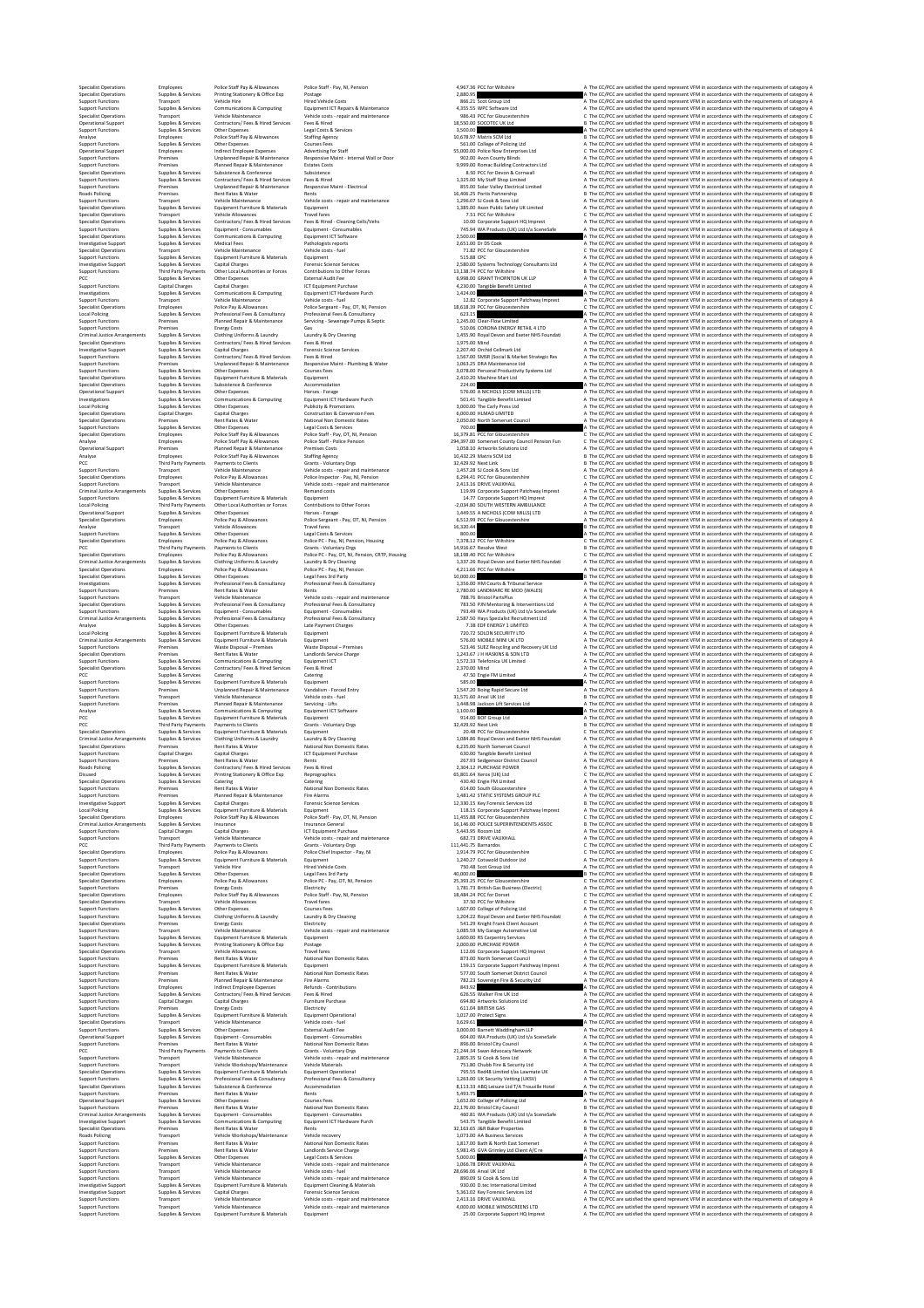## %Date of the Maintenance Vehicle on Vehicle on Vehicle on Vehicle on Vehicle on Vehicle on Vehicle on Vehicle of Vehicle on 2413.16 Date and the Maintenance Although A The CCPCC are satisfied the gend represent VFM in acco

Specialist Operations Employees Police Staff Pay & Allowances Police Staff ‐ Pay, NI, Pension 4,967.36 PCC for Wiltshire A The CC/PCC are satisfied the spend represent VFM in accordance with the requirements of category A Specialist Operations Supplies & Services Printing Stationery & Office Exp Postage 2,880.95 A The CC/PCC are satisfied the spend represent VFM in accordance with the requirements of category A Support Functions Transport Vehicle Hire Hired Vehicle Costs 866.21 Scot Group Ltd A The CC/PCC are satisfied the spend represent VFM in accordance with the requirements of category A Support Functions Supplies & Services Communications & Computing Equipment ICT Repairs & Maintenance 4,355.55 WPC Software Ltd A The CC/PCC are satisfied the spend represent VFM in accordance with the requirements of category A Specialist Operations Transport Vehicle Maintenance Vehicle costs ‐ repair and maintenance 986.43 PCC for Gloucestershire C The CC/PCC are satisfied the spend represent VFM in accordance with the requirements of category C Operational Support Supplies & Services Contractors/ Fees & Hired Services Fees & Hired 18,550.00 SOCOTEC UK Ltd B The CC/PCC are satisfied the spend represent VFM in accordance with the requirements of category B Support Functions Supplies & Services Other Expenses Legal Costs & Services 3,500.00 A The CC/PCC are satisfied the spend represent VFM in accordance with the requirements of category A Analyse Employees Police Staff Pay & Allowances Staffing Agency 10,678.97 Matrix SCM Ltd B The CC/PCC are satisfied the spend represent VFM in accordance with the requirements of category B Support Functions Supplies & Services Other Expenses Courses Fees 561.00 College of Policing Ltd A The CC/PCC are satisfied the spend represent VFM in accordance with the requirements of category A Operational Support Employees Indirect Employee Expenses Advertising for Staff 55,000.00 Police Now Enterprises Ltd C The CC/PCC are satisfied the spend represent VFM in accordance with the requirements of category C Support Functions Premises Unplanned Repair & Maintenance Responsive Maint ‐ Internal Wall or Door 902.00 Avon County Blinds A The CC/PCC are satisfied the spend represent VFM in accordance with the requirements of category A Support Functions Premises Planned Repair & Maintenance Estates Costs 9,999.00 Romac Building Contractors Ltd A The CC/PCC are satisfied the spend represent VFM in accordance with the requirements of category A Specialist Operations Supplies & Services Subsistence & Conference Subsistence 8.50 PCC for Devon & Cornwall A The CC/PCC are satisfied the spend represent VFM in accordance with the requirements of category A Support Functions Supplies & Services Contractors/ Fees & Hired Services Fees & Hired 1,325.00 My Staff Shop Limited A The CC/PCC are satisfied the spend represent VFM in accordance with the requirements of category A Support Functions Premises Unplanned Repair & Maintenance Responsive Maint ‐ Electrical 855.00 Solar Valley Electrical Limited A The CC/PCC are satisfied the spend represent VFM in accordance with the requirements of category A Roads Policing Premises Rent Rates & Water Rents 16,406.25 Portis Partnership B The CC/PCC are satisfied the spend represent VFM in accordance with the requirements of category B Support Functions Transport Vehicle Maintenance Vehicle costs ‐ repair and maintenance 1,296.07 SJ Cook & Sons Ltd A The CC/PCC are satisfied the spend represent VFM in accordance with the requirements of category A Specialist Operations Supplies & Services Equipment Furniture & Materials Equipment 1,385.00 Axon Public Safety UK Limited A The CC/PCC are satisfied the spend represent VFM in accordance with the requirements of category A Specialist Operations Transport Vehicle Allowances Travel fares 7.51 PCC for Wiltshire C The CC/PCC are satisfied the spend represent VFM in accordance with the requirements of category C Specialist Operations Supplies & Services Contractors/ Fees & Hired Services Fees & Hired ‐ Cleaning Cells/Vehs 10.00 Corporate Support HQ Imprest A The CC/PCC are satisfied the spend represent VFM in accordance with the requirements of category A Support Functions Supplies & Services Equipment ‐ Consumables Equipment ‐ Consumables 745.94 WA Products (UK) Ltd t/a SceneSafe A The CC/PCC are satisfied the spend represent VFM in accordance with the requirements of category A Specialist Operations Supplies & Services Communications & Computing Equipment ICT Software 2,500.00 A The CC/PCC are satisfied the spend represent VFM in accordance with the requirements of category A Investigative Support Supplies & Services Medical Fees Pathologists reports 2,651.00 Dr DS Cook A The CC/PCC are satisfied the spend represent VFM in accordance with the requirements of category A Specialist Operations Transport Vehicle Maintenance Vehicle costs ‐ fuel 71.82 PCC for Gloucestershire C The CC/PCC are satisfied the spend represent VFM in accordance with the requirements of category C Support Functions Supplies & Services Equipment Furniture & Materials Equipment 515.88 CPC A The CC/PCC are satisfied the spend represent VFM in accordance with the requirements of category A Investigative Support Supplies & Services Capital Charges Forensic Science Services 2,580.00 Systems Technology Consultants Ltd A The CC/PCC are satisfied the spend represent VFM in accordance with the requirements of category A Support Functions Third Party Payments Other Local Authorities or Forces Contributions to Other Forces 13,138.74 PCC for Wiltshire B The CC/PCC are satisfied the spend represent VFM in accordance with the requirements of category B PCC Supplies & Services Other Expenses External Audit Fee 6,998.00 GRANT THORNTON UK LLP A The CC/PCC are satisfied the spend represent VFM in accordance with the requirements of category A Support Functions Capital Charges Capital Charges ICT Equipment Purchase 4,230.00 Tangible Benefit Limited A The CC/PCC are satisfied the spend represent VFM in accordance with the requirements of category A Investigations Supplies & Services Communications & Computing Equipment ICT Hardware Purch 1,424.00 A The CC/PCC are satisfied the spend represent VFM in accordance with the requirements of category A Support Functions Transport Vehicle Maintenance Vehicle costs ‐ fuel 12.82 Corporate Support Patchway Imprest A The CC/PCC are satisfied the spend represent VFM in accordance with the requirements of category A Specialist Operations Employees Police Pay & Allowances Police Sergeant ‐ Pay, OT, NI, Pension 18,618.39 PCC for Gloucestershire C The CC/PCC are satisfied the spend represent VFM in accordance with the requirements of category C Local Policing Supplies & Services Professional Fees & Consultancy Professional Fees & Consultancy 623.15 A The CC/PCC are satisfied the spend represent VFM in accordance with the requirements of category A Support Functions Premises Planned Repair & Maintenance Servicing ‐ Sewerage Pumps & Septic 1,245.00 Clear‐Flow Limited A The CC/PCC are satisfied the spend represent VFM in accordance with the requirements of category A Support Functions Premises Energy Costs Gas 510.06 CORONA ENERGY RETAIL 4 LTD A The CC/PCC are satisfied the spend represent VFM in accordance with the requirements of category A Criminal Justice Arrangements Supplies & Services Clothing Uniforms & Laundry Laundry & Dry Cleaning 1,455.90 Royal Devon and Exeter NHS Foundati A The CC/PCC are satisfied the spend represent VFM in accordance with the requirements of category A Specialist Operations Supplies & Services Contractors/ Fees & Hired Services Fees & Hired 1,975.00 Mind A The CC/PCC are satisfied the spend represent VFM in accordance with the requirements of category A Investigative Support Supplies & Services Capital Charges Forensic Science Services 2,207.40 Orchid Cellmark Ltd A The CC/PCC are satisfied the spend represent VFM in accordance with the requirements of category A Support Functions Supplies & Services Contractors/ Fees & Hired Services Fees & Hired 1,567.00 SMSR (Social & Market Strategic Res A The CC/PCC are satisfied the spend represent VFM in accordance with the requirements of category A Support Functions Premises Unplanned Repair & Maintenance Responsive Maint ‐ Plumbing & Water 1,063.25 DRA Maintenance Ltd A The CC/PCC are satisfied the spend represent VFM in accordance with the requirements of category A Support Functions Supplies & Services Other Expenses Courses Fees 3,078.00 Personal Productivity Systems Ltd A The CC/PCC are satisfied the spend represent VFM in accordance with the requirements of category A Specialist Operations Supplies & Services Equipment Furniture & Materials Equipment 2,410.20 Machine Mart Ltd A The CC/PCC are satisfied the spend represent VFM in accordance with the requirements of category A Specialist Operations Supplies & Services Subsistence & Conference Accommodation 224.00 A The CC/PCC are satisfied the spend represent VFM in accordance with the requirements of category A Operational Support Supplies & Services Other Expenses Horses ‐ Forage 576.00 A NICHOLS (COW MILLS) LTD A The CC/PCC are satisfied the spend represent VFM in accordance with the requirements of category A Investigations Supplies & Services Communications & Computing Equipment ICT Hardware Purch 501.41 Tangible Benefit Limited A The CC/PCC are satisfied the spend represent VFM in accordance with the requirements of category A Local Policing Supplies & Services Other Expenses Publicity & Promotions 3,000.00 The Carly Press Ltd A The CC/PCC are satisfied the spend represent VFM in accordance with the requirements of category A Specialist Operations Capital Charges Capital Charges Construction & Conversion Fees 6,000.00 HLMAD LIMITED A The CC/PCC are satisfied the spend represent VFM in accordance with the requirements of category A Specialist Operations Premises Rent Rates & Water National Non Domestic Rates 2,050.00 North Somerset Council A The CC/PCC are satisfied the spend represent VFM in accordance with the requirements of category A Support Functions Supplies & Services Other Expenses Legal Costs & Services 700.00 A The CC/PCC are satisfied the spend represent VFM in accordance with the requirements of category A Specialist Operations Employees Police Staff Pay & Allowances Police Staff ‐ Pay, OT, NI, Pension 16,379.81 PCC for Gloucestershire C The CC/PCC are satisfied the spend represent VFM in accordance with the requirements of category C Analyse Employees Police Staff Pay & Allowances Police Staff ‐ Police Pension 294,397.00 Somerset County Council Pension Fun C The CC/PCC are satisfied the spend represent VFM in accordance with the requirements of category C Operational Support Premises Planned Repair & Maintenance Premises Costs 1,058.10 Artworks Solutions Ltd A The CC/PCC are satisfied the spend represent VFM in accordance with the requirements of category A Analyse Employees Police Staff Pay & Allowances Staffing Agency 10,432.29 Matrix SCM Ltd B The CC/PCC are satisfied the spend represent VFM in accordance with the requirements of category B PCC Third Party Payments Payments to Clients Grants ‐ Voluntary Orgs 32,429.92 Next Link B The CC/PCC are satisfied the spend represent VFM in accordance with the requirements of category B Support Functions Transport Vehicle Maintenance Vehicle costs ‐ repair and maintenance 1,457.28 SJ Cook & Sons Ltd A The CC/PCC are satisfied the spend represent VFM in accordance with the requirements of category A Specialist Operations Employees Police Pay & Allowances Police Inspector ‐ Pay, NI, Pension 6,294.41 PCC for Gloucestershire C The CC/PCC are satisfied the spend represent VFM in accordance with the requirements of category C Support Functions Transport Vehicle Maintenance Vehicle costs ‐ repair and maintenance 2,413.16 DRIVE VAUXHALL A The CC/PCC are satisfied the spend represent VFM in accordance with the requirements of category A Criminal Justice Arrangements Supplies & Services Other Expenses Remand costs 119.99 Corporate Support Patchway Imprest A The CC/PCC are satisfied the spend represent VFM in accordance with the requirements of category A Support Functions Supplies & Services Equipment Furniture & Materials Equipment 14.77 Corporate Support HQ Imprest A The CC/PCC are satisfied the spend represent VFM in accordance with the requirements of category A Local Policing Third Party Payments Other Local Authorities or Forces Contributions to Other Forces ‐2,034.80 SOUTH WESTERN AMBULANCE A The CC/PCC are satisfied the spend represent VFM in accordance with the requirements of category A Operational Support Supplies & Services Other Expenses Horses ‐ Forage 1,449.55 A NICHOLS (COW MILLS) LTD A The CC/PCC are satisfied the spend represent VFM in accordance with the requirements of category A Specialist Operations Employees Police Pay & Allowances Police Sergeant ‐ Pay, OT, NI, Pension 6,512.99 PCC for Gloucestershire A The CC/PCC are satisfied the spend represent VFM in accordance with the requirements of category A Analyse Transport Vehicle Allowances Travel fares 16,320.44 B The CC/PCC are satisfied the spend represent VFM in accordance with the requirements of category B Support Functions Supplies & Services Other Expenses Legal Costs & Services 800.00 A The CC/PCC are satisfied the spend represent VFM in accordance with the requirements of category A Specialist Operations Employees Police Pay & Allowances Police PC ‐ Pay, NI, Pension, Housing 7,378.12 PCC for Wiltshire C The CC/PCC are satisfied the spend represent VFM in accordance with the requirements of category C PCC Third Party Payments Payments to Clients Grants ‐ Voluntary Orgs 14,916.67 Resolve West B The CC/PCC are satisfied the spend represent VFM in accordance with the requirements of category B Specialist Operations Employees Police Pay & Allowances Police PC ‐ Pay, OT, NI, Pension, CRTP, Housing 18,198.40 PCC for Wiltshire C The CC/PCC are satisfied the spend represent VFM in accordance with the requirements of category C Criminal Justice Arrangements Supplies & Services Clothing Uniforms & Laundry Laundry & Dry Cleaning 1,337.26 Royal Devon and Exeter NHS Foundati A The CC/PCC are satisfied the spend represent VFM in accordance with the requirements of category A Specialist Operations Employees Police Pay & Allowances Police PC ‐ Pay, NI, Pension 4,211.66 PCC for Wiltshire A The CC/PCC are satisfied the spend represent VFM in accordance with the requirements of category A Specialist Operations Supplies & Services Other Expenses Legal Fees 3rd Party 10,000.00 B The CC/PCC are satisfied the spend represent VFM in accordance with the requirements of category B Investigations Supplies & Services Professional Fees & Consultancy Professional Fees & Consultancy 1,356.00 HM Courts & Tribunal Service A The CC/PCC are satisfied the spend represent VFM in accordance with the requirements of category A Support Functions Premises Rent Rates & Water Rents 2,780.00 LANDMARC RE MOD (WALES) A The CC/PCC are satisfied the spend represent VFM in accordance with the requirements of category A Support Functions Transport Vehicle Maintenance Vehicle costs ‐ repair and maintenance 788.76 Bristol PartsPlus A The CC/PCC are satisfied the spend represent VFM in accordance with the requirements of category A Specialist Operations Supplies & Services Professional Fees & Consultancy Professional Fees & Consultancy 783.50 PJN Mentoring & Interventions Ltd A The CC/PCC are satisfied the spend represent VFM in accordance with the requirements of category A Support Functions Supplies & Services Equipment ‐ Consumables Equipment ‐ Consumables 793.49 WA Products (UK) Ltd t/a SceneSafe A The CC/PCC are satisfied the spend represent VFM in accordance with the requirements of category A Criminal Justice Arrangements Supplies & Services Professional Fees & Consultancy Professional Fees & Consultancy 2,587.50 Hays Specialist Recruitment Ltd A The CC/PCC are satisfied the spend represent VFM in accordance with the requirements of category A Analyse Supplies & Services Other Expenses Late Payment Charges 7.38 EDF ENERGY 1 LIMITED A The CC/PCC are satisfied the spend represent VFM in accordance with the requirements of category A Local Policing Supplies & Services Equipment Furniture & Materials Equipment 720.72 SOLON SECURITY LTD A The CC/PCC are satisfied the spend represent VFM in accordance with the requirements of category A Criminal Justice Arrangements Supplies & Services Equipment Furniture & Materials Equipment 576.00 MOBILE MINI UK LTD A The CC/PCC are satisfied the spend represent VFM in accordance with the requirements of category A Support Functions Premises Waste Disposal – Premises Waste Disposal – Premises 523.46 SUEZ Recycling and Recovery UK Ltd A The CC/PCC are satisfied the spend represent VFM in accordance with the requirements of category A Specialist Operations Premises Rent Rates & Water Landlords Service Charge 1,243.67 J H HASKINS & SON LTD A The CC/PCC are satisfied the spend represent VFM in accordance with the requirements of category A Support Functions Supplies & Services Communications & Computing Equipment ICT 1,572.33 Telefonica UK Limited A The CC/PCC are satisfied the spend represent VFM in accordance with the requirements of category A Specialist Operations Supplies & Services Contractors/ Fees & Hired Services Fees & Hired 2,370.00 Mind A The CC/PCC are satisfied the spend represent VFM in accordance with the requirements of category A PCC Supplies & Services Catering Catering 47.50 Engie FM Limited A The CC/PCC are satisfied the spend represent VFM in accordance with the requirements of category A Support Functions Supplies & Services Equipment Furniture & Materials Equipment 585.00 A The CC/PCC are satisfied the spend represent VFM in accordance with the requirements of category A Support Functions Premises Unplanned Repair & Maintenance Vandalism ‐ Forced Entry 1,547.20 Boing Rapid Secure Ltd A The CC/PCC are satisfied the spend represent VFM in accordance with the requirements of category A Support Functions Transport Vehicle Maintenance Vehicle costs ‐ fuel 31,571.60 Arval UK Ltd B The CC/PCC are satisfied the spend represent VFM in accordance with the requirements of category B Support Functions Premises Planned Repair & Maintenance Servicing ‐ Lifts 1,448.98 Jackson Lift Services Ltd A The CC/PCC are satisfied the spend represent VFM in accordance with the requirements of category A Analyse Supplies & Services Communications & Computing Equipment ICT Software 1,100.00 A The CC/PCC are satisfied the spend represent VFM in accordance with the requirements of category A PCC Supplies & Services Equipment Furniture & Materials Equipment 914.00 BOF Group Ltd A The CC/PCC are satisfied the spend represent VFM in accordance with the requirements of category A PCC Third Party Payments Payments to Clients Grants ‐ Voluntary Orgs 32,429.92 Next Link B The CC/PCC are satisfied the spend represent VFM in accordance with the requirements of category B Specialist Operations Supplies & Services Equipment Furniture & Materials Equipment 20.48 PCC for Gloucestershire C The CC/PCC are satisfied the spend represent VFM in accordance with the requirements of category C Criminal Justice Arrangements Supplies & Services Clothing Uniforms & Laundry Laundry & Dry Cleaning 1,084.86 Royal Devon and Exeter NHS Foundati A The CC/PCC are satisfied the spend represent VFM in accordance with the requirements of category A Specialist Operations Premises Rent Rates & Water National Non Domestic Rates 6,235.00 North Somerset Council A The CC/PCC are satisfied the spend represent VFM in accordance with the requirements of category A Support Functions Capital Charges Capital Charges ICT Equipment Purchase 630.00 Tangible Benefit Limited A The CC/PCC are satisfied the spend represent VFM in accordance with the requirements of category A Support Functions Premises Rent Rates & Water Rents 267.93 Sedgemoor District Council A The CC/PCC are satisfied the spend represent VFM in accordance with the requirements of category A Roads Policing Supplies & Services Contractors/ Fees & Hired Services Fees & Hired 2,304.12 PURCHASE POWER A The CC/PCC are satisfied the spend represent VFM in accordance with the requirements of category A Disused Supplies & Services Printing Stationery & Office Exp Reprographics 65,801.64 Xerox (UK) Ltd C The CC/PCC are satisfied the spend represent VFM in accordance with the requirements of category C Specialist Operations Supplies & Services Catering Catering 430.40 Engie FM Limited A The CC/PCC are satisfied the spend represent VFM in accordance with the requirements of category A Support Functions Premises Rent Rates & Water National Non Domestic Rates 614.00 South Gloucestershire A The CC/PCC are satisfied the spend represent VFM in accordance with the requirements of category A Support Functions Premises Planned Repair & Maintenance Fire Alarms 1,481.42 STATIC SYSTEMS GROUP PLC A The CC/PCC are satisfied the spend represent VFM in accordance with the requirements of category A Investigative Support Supplies & Services Capital Charges Forensic Science Services 12,330.15 Key Forensic Services Ltd B The CC/PCC are satisfied the spend represent VFM in accordance with the requirements of category B Local Policing Supplies & Services Equipment Furniture & Materials Equipment 118.15 Corporate Support Patchway Imprest A The CC/PCC are satisfied the spend represent VFM in accordance with the requirements of category A Specialist Operations Employees Police Staff Pay & Allowances Police Staff ‐ Pay, OT, NI, Pension 11,455.88 PCC for Gloucestershire C The CC/PCC are satisfied the spend represent VFM in accordance with the requirements of category C Criminal Justice Arrangements Supplies & Services Insurance Insurance General 16,146.00 POLICE SUPERINTENDENTS ASSOC B The CC/PCC are satisfied the spend represent VFM in accordance with the requirements of category B Support Functions Capital Charges Capital Charges ICT Equipment Purchase 5,443.95 Rocom Ltd A The CC/PCC are satisfied the spend represent VFM in accordance with the requirements of category A Support Functions Transport Vehicle Maintenance Vehicle costs ‐ repair and maintenance 682.73 DRIVE VAUXHALL A The CC/PCC are satisfied the spend represent VFM in accordance with the requirements of category A PCC Third Party Payments Payments to Clients Grants ‐ Voluntary Orgs 111,441.75 Barnardos C The CC/PCC are satisfied the spend represent VFM in accordance with the requirements of category C Specialist Operations Employees Police Pay & Allowances Police Chief Inspector ‐ Pay, NI 1,914.79 PCC for Gloucestershire C The CC/PCC are satisfied the spend represent VFM in accordance with the requirements of category C Support Functions Supplies & Services Equipment Furniture & Materials Equipment 1,240.27 Cotswold Outdoor Ltd A The CC/PCC are satisfied the spend represent VFM in accordance with the requirements of category A Support Functions Transport Vehicle Hire Hired Vehicle Costs 750.48 Scot Group Ltd A The CC/PCC are satisfied the spend represent VFM in accordance with the requirements of category A Specialist Operations Supplies & Services Other Expenses Legal Fees 3rd Party 40,000.00 B The CC/PCC are satisfied the spend represent VFM in accordance with the requirements of category B Specialist Operations Employees Police Pay & Allowances Police PC ‐ Pay, OT, NI, Pension 25,393.25 PCC for Gloucestershire C The CC/PCC are satisfied the spend represent VFM in accordance with the requirements of category C Support Functions Premises Energy Costs Electricity 1,781.73 British Gas Business (Electric) A The CC/PCC are satisfied the spend represent VFM in accordance with the requirements of category A Specialist Operations Employees Police Staff Pay & Allowances Police Staff ‐ Pay, NI, Pension 18,484.24 PCC for Dorset C The CC/PCC are satisfied the spend represent VFM in accordance with the requirements of category C Specialist Operations Transport Vehicle Allowances Travel fares 37.50 PCC for Wiltshire C The CC/PCC are satisfied the spend represent VFM in accordance with the requirements of category C Support Functions Supplies & Services Other Expenses Courses Fees 1,607.00 College of Policing Ltd A The CC/PCC are satisfied the spend represent VFM in accordance with the requirements of category A Support Functions Supplies & Services Clothing Uniforms & Laundry Laundry & Dry Cleaning 1,204.22 Royal Devon and Exeter NHS Foundati A The CC/PCC are satisfied the spend represent VFM in accordance with the requirements of category A Specialist Operations Premises Energy Costs Electricity 541.29 Knight Frank Client Account A The CC/PCC are satisfied the spend represent VFM in accordance with the requirements of category A Support Functions Transport Vehicle Maintenance Vehicle costs ‐ repair and maintenance 1,085.59 My Garage Automotive Ltd A The CC/PCC are satisfied the spend represent VFM in accordance with the requirements of category A Support Functions Supplies & Services Equipment Furniture & Materials Equipment 1,600.00 RS Carpentry Services A The CC/PCC are satisfied the spend represent VFM in accordance with the requirements of category A Support Functions Supplies & Services Printing Stationery & Office Exp Postage 2,000.00 PURCHASE POWER A The CC/PCC are satisfied the spend represent VFM in accordance with the requirements of category A Specialist Operations Transport Vehicle Allowances Travel fares 112.06 Corporate Support HQ Imprest A The CC/PCC are satisfied the spend represent VFM in accordance with the requirements of category A Support Functions Premises Rent Rates & Water National Non Domestic Rates 873.00 North Somerset Council A The CC/PCC are satisfied the spend represent VFM in accordance with the requirements of category A Support Functions Supplies & Services Equipment Furniture & Materials Equipment 159.15 Corporate Support Patchway Imprest A The CC/PCC are satisfied the spend represent VFM in accordance with the requirements of category A Support Functions Premises Rent Rates & Water National Non Domestic Rates 577.00 South Somerset District Council A The CC/PCC are satisfied the spend represent VFM in accordance with the requirements of category A Support Functions Premises Planned Repair & Maintenance Fire Alarms 782.23 Sovereign Fire & Security Ltd A The CC/PCC are satisfied the spend represent VFM in accordance with the requirements of category A Support Functions Employees Indirect Employee Expenses Refunds ‐ Contributions 843.92 A The CC/PCC are satisfied the spend represent VFM in accordance with the requirements of category A Support Functions Supplies & Services Contractors/ Fees & Hired Services Fees & Hired 626.55 Walker Fire UK Ltd A The CC/PCC are satisfied the spend represent VFM in accordance with the requirements of category A Support Functions Capital Charges Capital Charges Furniture Purchase 694.80 Artworks Solutions Ltd A The CC/PCC are satisfied the spend represent VFM in accordance with the requirements of category A Support Functions Premises Energy Costs Electricity 611.04 BRITISH GAS A The CC/PCC are satisfied the spend represent VFM in accordance with the requirements of category A Support Functions Supplies & Services Equipment Furniture & Materials Equipment Operational 1,017.00 Protect Signs A The CC/PCC are satisfied the spend represent VFM in accordance with the requirements of category A Specialist Operations Transport Vehicle Maintenance Vehicle costs ‐ fuel 3,629.61 A The CC/PCC are satisfied the spend represent VFM in accordance with the requirements of category A Support Functions Supplies & Services Other Expenses External Audit Fee 3,000.00 Barnett Waddingham LLP A The CC/PCC are satisfied the spend represent VFM in accordance with the requirements of category A Operational Support Supplies & Services Equipment ‐ Consumables Equipment ‐ Consumables 604.00 WA Products (UK) Ltd t/a SceneSafe A The CC/PCC are satisfied the spend represent VFM in accordance with the requirements of category A Support Functions Premises Rent Rates & Water National Non Domestic Rates 896.00 Bristol City Council A The CC/PCC are satisfied the spend represent VFM in accordance with the requirements of category A PCC Third Party Payments Payments to Clients Grants ‐ Voluntary Orgs 21,244.34 Swan Advocacy Network B The CC/PCC are satisfied the spend represent VFM in accordance with the requirements of category B Support Functions Transport Vehicle Maintenance Vehicle costs ‐ repair and maintenance 2,805.35 SJ Cook & Sons Ltd A The CC/PCC are satisfied the spend represent VFM in accordance with the requirements of category A Support Functions Transport Vehicle Workshops/Maintenance Vehicle Materials 751.80 Chubb Fire & Security Ltd A The CC/PCC are satisfied the spend represent VFM in accordance with the requirements of category A Specialist Operations Supplies & Services Equipment Furniture & Materials Equipment Operational 795.55 Red48 Limited t/as Lawmate UK A The CC/PCC are satisfied the spend represent VFM in accordance with the requirements of category A Support Functions Supplies & Services Professional Fees & Consultancy Professional Fees & Consultancy 1,263.00 UK Security Vetting (UKSV) A The CC/PCC are satisfied the spend represent VFM in accordance with the requirements of category A Specialist Operations Supplies & Services Subsistence & Conference Accommodation 8,113.33 ABQ Leisure Ltd T/A Trouville Hotel A The CC/PCC are satisfied the spend represent VFM in accordance with the requirements of category A Support Functions Premises Rent Rates & Water Rents 5,493.75 A The CC/PCC are satisfied the spend represent VFM in accordance with the requirements of category A Operational Support Supplies & Services Other Expenses Courses Fees 1,652.00 College of Policing Ltd A The CC/PCC are satisfied the spend represent VFM in accordance with the requirements of category A Support Functions Premises Rent Rates & Water National Non Domestic Rates 22,176.00 Bristol City Council B The CC/PCC are satisfied the spend represent VFM in accordance with the requirements of category B Criminal Justice Arrangements Supplies & Services Equipment ‐ Consumables Equipment ‐ Consumables 460.81 WA Products (UK) Ltd t/a SceneSafe A The CC/PCC are satisfied the spend represent VFM in accordance with the requirements of category A Investigative Support Supplies & Services Communications & Computing Equipment ICT Hardware Purch 543.75 Tangible Benefit Limited A The CC/PCC are satisfied the spend represent VFM in accordance with the requirements of category A Specialist Operations Premises Rent Rates & Water Rents 32,163.65 J&R Baker Properties B The CC/PCC are satisfied the spend represent VFM in accordance with the requirements of category B Roads Policing Transport Vehicle Workshops/Maintenance Vehicle recovery 1,073.00 AA Business Services A The CC/PCC are satisfied the spend represent VFM in accordance with the requirements of category A Support Functions Premises Rent Rates & Water National Non Domestic Rates 1,817.00 Bath & North East Somerset A The CC/PCC are satisfied the spend represent VFM in accordance with the requirements of category A Support Functions Premises Rent Rates & Water Landlords Service Charge 5,981.45 GVA Grimley Ltd Client A/C re A The CC/PCC are satisfied the spend represent VFM in accordance with the requirements of category A Support Functions Supplies & Services Other Expenses Legal Costs & Services 5,000.00 A The CC/PCC are satisfied the spend represent VFM in accordance with the requirements of category A Support Functions Transport Vehicle Maintenance Vehicle costs ‐ repair and maintenance 1,066.78 DRIVE VAUXHALL A The CC/PCC are satisfied the spend represent VFM in accordance with the requirements of category A Support Functions Transport Vehicle Maintenance Vehicle costs ‐ fuel 28,696.06 Arval UK Ltd B The CC/PCC are satisfied the spend represent VFM in accordance with the requirements of category B Support Functions Transport Vehicle Maintenance Vehicle costs ‐ repair and maintenance 890.09 SJ Cook & Sons Ltd A The CC/PCC are satisfied the spend represent VFM in accordance with the requirements of category A Investigative Support Supplies & Services Equipment Furniture & Materials Equipment Cleaning & Materials 930.00 D.tec International Limited A The CC/PCC are satisfied the spend represent VFM in accordance with the requirements of category A Investigative Support Supplies & Services Capital Charges Forensic Science Services 5,361.02 Key Forensic Services Ltd A The CC/PCC are satisfied the spend represent VFM in accordance with the requirements of category A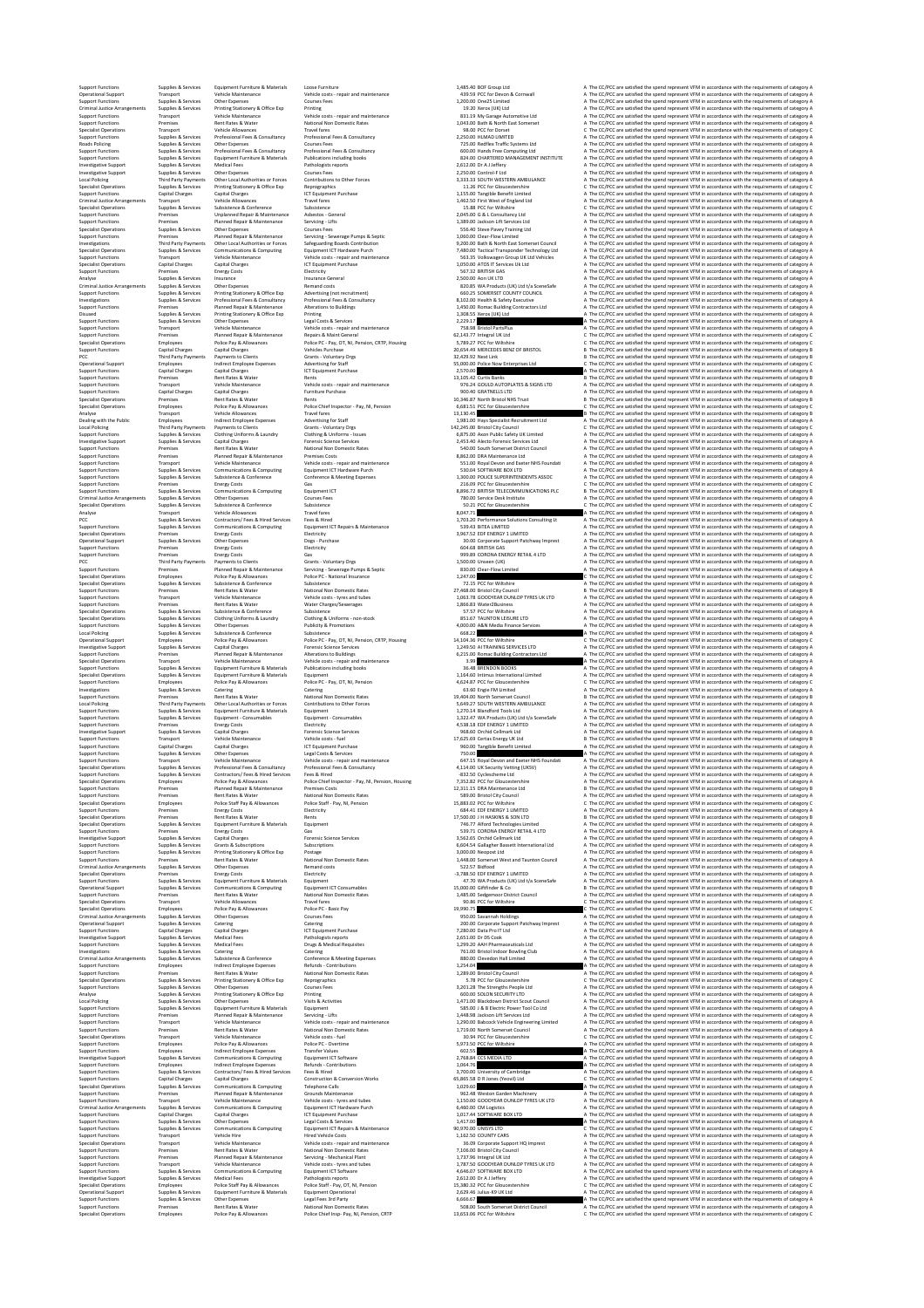Support Functions Supplies & Services Equipment Furniture & Materials Loose Furniture 1,485.40 BOF Group Ltd A The CC/PCC are satisfied the spend represent VFM in accordance with the requirements of category A Operational Support Transport Vehicle Maintenance Vehicle costs ‐ repair and maintenance 439.59 PCC for Devon & Cornwall A The CC/PCC are satisfied the spend represent VFM in accordance with the requirements of category A Support Functions Supplies & Services Other Expenses Courses Fees 1,200.00 One25 Limited A The CC/PCC are satisfied the spend represent VFM in accordance with the requirements of category A Criminal Justice Arrangements Supplies & Services Printing Stationery & Office Exp Printing 19.20 Xerox (UK) Ltd A The CC/PCC are satisfied the spend represent VFM in accordance with the requirements of category A Support Functions Transport Vehicle Maintenance Vehicle costs ‐ repair and maintenance 831.19 My Garage Automotive Ltd A The CC/PCC are satisfied the spend represent VFM in accordance with the requirements of category A Support Functions Premises Rent Rates & Water National Non Domestic Rates 1,043.00 Bath & North East Somerset A The CC/PCC are satisfied the spend represent VFM in accordance with the requirements of category A Specialist Operations Transport Vehicle Allowances Travel fares 98.00 PCC for Dorset C The CC/PCC are satisfied the spend represent VFM in accordance with the requirements of category C Support Functions Supplies & Services Professional Fees & Consultancy Professional Fees & Consultancy 2,250.00 HLMAD LIMITED A The CC/PCC are satisfied the spend represent VFM in accordance with the requirements of category A Roads Policing Supplies & Services Other Expenses Courses Fees 725.00 Redflex Traffic Systems Ltd A The CC/PCC are satisfied the spend represent VFM in accordance with the requirements of category A Support Functions Supplies & Services Professional Fees & Consultancy Professional Fees & Consultancy 600.00 Hands Free Computing Ltd A The CC/PCC are satisfied the spend represent VFM in accordance with the requirements of category A Support Functions Supplies & Services Equipment Furniture & Materials Publications including books 824.00 CHARTERED MANAGEMENT INSTITUTE A The CC/PCC are satisfied the spend represent VFM in accordance with the requirements of category A Investigative Support Supplies & Services Medical Fees Pathologists reports 2,612.00 Dr A J Jeffery A The CC/PCC are satisfied the spend represent VFM in accordance with the requirements of category A Investigative Support Supplies & Services Other Expenses Courses Fees 2,250.00 Control‐F Ltd A The CC/PCC are satisfied the spend represent VFM in accordance with the requirements of category A Local Policing Third Party Payments Other Local Authorities or Forces Contributions to Other Forces 3,333.33 SOUTH WESTERN AMBULANCE A The CC/PCC are satisfied the spend represent VFM in accordance with the requirements of category A Specialist Operations Supplies & Services Printing Stationery & Office Exp Reprographics 11.26 PCC for Gloucestershire C The CC/PCC are satisfied the spend represent VFM in accordance with the requirements of category C Support Functions Capital Charges Capital Charges ICT Equipment Purchase 1,155.00 Tangible Benefit Limited A The CC/PCC are satisfied the spend represent VFM in accordance with the requirements of category A Criminal Justice Arrangements Transport Vehicle Allowances Travel fares 1,462.50 First West of England Ltd A The CC/PCC are satisfied the spend represent VFM in accordance with the requirements of category A Specialist Operations Supplies & Services Subsistence & Conference Subsistence 15.88 PCC for Wiltshire C The CC/PCC are satisfied the spend represent VFM in accordance with the requirements of category C Support Functions Premises Unplanned Repair & Maintenance Asbestos ‐ General 2,045.00 G & L Consultancy Ltd A The CC/PCC are satisfied the spend represent VFM in accordance with the requirements of category A Support Functions Premises Planned Repair & Maintenance Servicing ‐ Lifts 1,389.00 Jackson Lift Services Ltd A The CC/PCC are satisfied the spend represent VFM in accordance with the requirements of category A Specialist Operations Supplies & Services Other Expenses Courses Fees 556.40 Steve Pavey Training Ltd A The CC/PCC are satisfied the spend represent VFM in accordance with the requirements of category A Support Functions Premises Planned Repair & Maintenance Servicing ‐ Sewerage Pumps & Septic 1,060.00 Clear‐Flow Limited A The CC/PCC are satisfied the spend represent VFM in accordance with the requirements of category A Investigations Third Party Payments Other Local Authorities or Forces Safeguarding Boards Contribution 9,200.00 Bath & North East Somerset Council A The CC/PCC are satisfied the spend represent VFM in accordance with the requirements of category A Specialist Operations Supplies & Services Communications & Computing Equipment ICT Hardware Purch 7,480.00 Tactical Transponder Technology Ltd A The CC/PCC are satisfied the spend represent VFM in accordance with the requirements of category A Support Functions Transport Vehicle Maintenance Vehicle costs ‐ repair and maintenance 563.35 Volkswagen Group UK Ltd Vehicles A The CC/PCC are satisfied the spend represent VFM in accordance with the requirements of category A Specialist Operations Capital Charges Capital Charges ICT Equipment Purchase 1,050.00 ATOS IT Services Uk Ltd A The CC/PCC are satisfied the spend represent VFM in accordance with the requirements of category A Support Functions Premises Energy Costs Electricity 567.32 BRITISH GAS A The CC/PCC are satisfied the spend represent VFM in accordance with the requirements of category A Analyse Supplies & Services Insurance Insurance General 2,500.00 Aon UK LTD A The CC/PCC are satisfied the spend represent VFM in accordance with the requirements of category A Criminal Justice Arrangements Supplies & Services Other Expenses Remand costs 820.85 WA Products (UK) Ltd t/a SceneSafe A The CC/PCC are satisfied the spend represent VFM in accordance with the requirements of category A Support Functions Supplies & Services Printing Stationery & Office Exp Advertising (not recruitment) 660.25 SOMERSET COUNTY COUNCIL A The CC/PCC are satisfied the spend represent VFM in accordance with the requirements of category A Investigations Supplies & Services Professional Fees & Consultancy Professional Fees & Consultancy 8,102.00 Health & Safety Executive A The CC/PCC are satisfied the spend represent VFM in accordance with the requirements of category A Support Functions Premises Planned Repair & Maintenance Alterations to Buildings 1,450.00 Romac Building Contractors Ltd A The CC/PCC are satisfied the spend represent VFM in accordance with the requirements of category A Disused Supplies & Services Printing Stationery & Office Exp Printing 1,308.55 Xerox (UK) Ltd A The CC/PCC are satisfied the spend represent VFM in accordance with the requirements of category A Support Functions Supplies & Services Other Expenses Legal Costs & Services 2,229.17 A The CC/PCC are satisfied the spend represent VFM in accordance with the requirements of category A Support Functions Transport Vehicle Maintenance Vehicle costs ‐ repair and maintenance 758.98 Bristol PartsPlus A The CC/PCC are satisfied the spend represent VFM in accordance with the requirements of category A Support Functions Premises Planned Repair & Maintenance Repairs & Maint General 62,143.77 Integral UK Ltd C The CC/PCC are satisfied the spend represent VFM in accordance with the requirements of category C Specialist Operations Employees Police Pay & Allowances Police PC ‐ Pay, OT, NI, Pension, CRTP, Housing 5,789.27 PCC for Wiltshire C The CC/PCC are satisfied the spend represent VFM in accordance with the requirements of category C Support Functions Capital Charges Capital Charges Vehicles Purchase 20,654.49 MERCEDES BENZ OF BRISTOL B The CC/PCC are satisfied the spend represent VFM in accordance with the requirements of category B PCC Third Party Payments Payments to Clients Grants ‐ Voluntary Orgs 32,429.92 Next Link B The CC/PCC are satisfied the spend represent VFM in accordance with the requirements of category B Operational Support Employees Indirect Employee Expenses Advertising for Staff 55,000.00 Police Now Enterprises Ltd C The CC/PCC are satisfied the spend represent VFM in accordance with the requirements of category C Support Functions Capital Charges Capital Charges ICT Equipment Purchase 2,570.00 A The CC/PCC are satisfied the spend represent VFM in accordance with the requirements of category A Support Functions Premises Rent Rates & Water Rents 13,105.42 Curtis Banks B The CC/PCC are satisfied the spend represent VFM in accordance with the requirements of category B Support Functions Transport Vehicle Maintenance Vehicle costs ‐ repair and maintenance 976.24 GOULD AUTOPLATES & SIGNS LTD A The CC/PCC are satisfied the spend represent VFM in accordance with the requirements of category A Support Functions Capital Charges Capital Charges Furniture Purchase 900.40 GRATNELLS LTD A The CC/PCC are satisfied the spend represent VFM in accordance with the requirements of category A Specialist Operations Premises Rent Rates & Water Rents 10,346.87 North Bristol NHS Trust B The CC/PCC are satisfied the spend represent VFM in accordance with the requirements of category B Specialist Operations Employees Police Pay & Allowances Police Chief Inspector ‐ Pay, NI, Pension 6,681.51 PCC for Gloucestershire C The CC/PCC are satisfied the spend represent VFM in accordance with the requirements of category C Analyse Transport Vehicle Allowances Travel fares 13,130.45 B The CC/PCC are satisfied the spend represent VFM in accordance with the requirements of category B Dealing with the Public Employees Indirect Employee Expenses Advertising for Staff 1,981.00 Hays Specialist Recruitment Ltd A The CC/PCC are satisfied the spend represent VFM in accordance with the requirements of category A Local Policing Third Party Payments Payments to Clients Grants ‐ Voluntary Orgs 142,245.00 Bristol City Council C The CC/PCC are satisfied the spend represent VFM in accordance with the requirements of category C Support Functions Supplies & Services Clothing Uniforms & Laundry Clothing & Uniforms ‐ Issues 6,875.00 Axon Public Safety UK Limited A The CC/PCC are satisfied the spend represent VFM in accordance with the requirements of category A Investigative Support Supplies & Services Capital Charges Forensic Science Services 2,453.40 Alecto Forensic Services Ltd A The CC/PCC are satisfied the spend represent VFM in accordance with the requirements of category A Support Functions Premises Rent Rates & Water National Non Domestic Rates 540.00 South Somerset District Council A The CC/PCC are satisfied the spend represent VFM in accordance with the requirements of category A Support Functions Premises Planned Repair & Maintenance Premises Costs 8,862.00 DRA Maintenance Ltd A The CC/PCC are satisfied the spend represent VFM in accordance with the requirements of category A Support Functions Transport Vehicle Maintenance Vehicle costs ‐ repair and maintenance 551.00 Royal Devon and Exeter NHS Foundati A The CC/PCC are satisfied the spend represent VFM in accordance with the requirements of category A Support Functions Supplies & Services Communications & Computing Equipment ICT Hardware Purch 530.04 SOFTWARE BOX LTD A The CC/PCC are satisfied the spend represent VFM in accordance with the requirements of category A Support Functions Supplies & Services Subsistence & Conference Conference & Meeting Expenses 1,300.00 POLICE SUPERINTENDENTS ASSOC A The CC/PCC are satisfied the spend represent VFM in accordance with the requirements of category A Support Functions Premises Energy Costs Gas 216.09 PCC for Gloucestershire C The CC/PCC are satisfied the spend represent VFM in accordance with the requirements of category C Support Functions Supplies & Services Communications & Computing Equipment ICT 8,896.72 BRITISH TELECOMMUNICATIONS PLC B The CC/PCC are satisfied the spend represent VFM in accordance with the requirements of category B Criminal Justice Arrangements Supplies & Services Other Expenses Courses Fees 780.00 Service Desk Institute A The CC/PCC are satisfied the spend represent VFM in accordance with the requirements of category A Specialist Operations Supplies & Services Subsistence & Conference Subsistence 50.21 PCC for Gloucestershire C The CC/PCC are satisfied the spend represent VFM in accordance with the requirements of category C Analyse Transport Vehicle Allowances Travel fares 8,047.71 A The CC/PCC are satisfied the spend represent VFM in accordance with the requirements of category A PCC Supplies & Services Contractors/ Fees & Hired Services Fees & Hired 1,703.20 Performance Solutions Consulting Lt A The CC/PCC are satisfied the spend represent VFM in accordance with the requirements of category A Support Functions Supplies & Services Communications & Computing Equipment ICT Repairs & Maintenance 539.43 BiTEA LIMITED A The CC/PCC are satisfied the spend represent VFM in accordance with the requirements of category A Specialist Operations Premises Energy Costs Electricity 3,967.52 EDF ENERGY 1 LIMITED A The CC/PCC are satisfied the spend represent VFM in accordance with the requirements of category A Operational Support Supplies & Services Other Expenses Dogs ‐ Purchase 30.00 Corporate Support Patchway Imprest A The CC/PCC are satisfied the spend represent VFM in accordance with the requirements of category A Support Functions Premises Energy Costs Electricity 604.68 BRITISH GAS A The CC/PCC are satisfied the spend represent VFM in accordance with the requirements of category A Support Functions Premises Energy Costs Gas 999.89 CORONA ENERGY RETAIL 4 LTD A The CC/PCC are satisfied the spend represent VFM in accordance with the requirements of category A PCC Third Party Payments Payments to Clients Grants ‐ Voluntary Orgs 1,500.00 Unseen (UK) A The CC/PCC are satisfied the spend represent VFM in accordance with the requirements of category A Support Functions Premises Planned Repair & Maintenance Servicing ‐ Sewerage Pumps & Septic 830.00 Clear‐Flow Limited A The CC/PCC are satisfied the spend represent VFM in accordance with the requirements of category A Specialist Operations Employees Police Pay & Allowances Police PC ‐ National Insurance 1,247.00 C The CC/PCC are satisfied the spend represent VFM in accordance with the requirements of category C Specialist Operations Supplies & Services Subsistence & Conference Subsistence 72.15 PCC for Wiltshire A The CC/PCC are satisfied the spend represent VFM in accordance with the requirements of category A Support Functions Premises Rent Rates & Water National Non Domestic Rates 27,468.00 Bristol City Council B The CC/PCC are satisfied the spend represent VFM in accordance with the requirements of category B Support Functions Transport Vehicle Maintenance Vehicle costs ‐ tyres and tubes 1,063.78 GOODYEAR DUNLOP TYRES UK LTD A The CC/PCC are satisfied the spend represent VFM in accordance with the requirements of category A Support Functions Premises Rent Rates & Water Water Charges/Sewerages 1,866.83 Water2Business A The CC/PCC are satisfied the spend represent VFM in accordance with the requirements of category A Specialist Operations Supplies & Services Subsistence & Conference Subsistence 57.57 PCC for Wiltshire A The CC/PCC are satisfied the spend represent VFM in accordance with the requirements of category A Specialist Operations Supplies & Services Clothing Uniforms & Laundry Clothing & Uniforms ‐ non‐stock 851.67 TAUNTON LEISURE LTD A The CC/PCC are satisfied the spend represent VFM in accordance with the requirements of category A Support Functions Supplies & Services Other Expenses Publicity & Promotions 4,000.00 A&N Media Finance Services A The CC/PCC are satisfied the spend represent VFM in accordance with the requirements of category A Local Policing Supplies & Services Subsistence & Conference Subsistence 668.22 A The CC/PCC are satisfied the spend represent VFM in accordance with the requirements of category A Operational Support Employees Police Pay & Allowances Police PC ‐ Pay, OT, NI, Pension, CRTP, Housing 14,104.36 PCC for Wiltshire C The CC/PCC are satisfied the spend represent VFM in accordance with the requirements of category C Investigative Support Supplies & Services Capital Charges Forensic Science Services 1,249.50 AI TRAINING SERVICES LTD A The CC/PCC are satisfied the spend represent VFM in accordance with the requirements of category A Support Functions Premises Planned Repair & Maintenance Alterations to Buildings 6,215.00 Romac Building Contractors Ltd A The CC/PCC are satisfied the spend represent VFM in accordance with the requirements of category A Specialist Operations Transport Vehicle Maintenance Vehicle costs ‐ repair and maintenance 3.99 A The CC/PCC are satisfied the spend represent VFM in accordance with the requirements of category A Support Functions Supplies & Services Equipment Furniture & Materials Publications including books 36.48 BRENDON BOOKS A The CC/PCC are satisfied the spend represent VFM in accordance with the requirements of category A Specialist Operations Supplies & Services Equipment Furniture & Materials Equipment 1,164.60 Intimus International Limited A The CC/PCC are satisfied the spend represent VFM in accordance with the requirements of category A Support Functions Employees Police Pay & Allowances Police PC ‐ Pay, OT, NI, Pension 4,624.87 PCC for Gloucestershire C The CC/PCC are satisfied the spend represent VFM in accordance with the requirements of category C Investigations Supplies & Services Catering Catering 63.60 Engie FM Limited A The CC/PCC are satisfied the spend represent VFM in accordance with the requirements of category A Support Functions Premises Rent Rates & Water National Non Domestic Rates 19,404.00 North Somerset Council B The CC/PCC are satisfied the spend represent VFM in accordance with the requirements of category B Local Policing Third Party Payments Other Local Authorities or Forces Contributions to Other Forces 5,649.27 SOUTH WESTERN AMBULANCE A The CC/PCC are satisfied the spend represent VFM in accordance with the requirements of category A Support Functions Supplies & Services Equipment Furniture & Materials Equipment 1,270.14 Blandford Tools Ltd A The CC/PCC are satisfied the spend represent VFM in accordance with the requirements of category A Support Functions Supplies & Services Equipment ‐ Consumables Equipment ‐ Consumables 1,322.47 WA Products (UK) Ltd t/a SceneSafe A The CC/PCC are satisfied the spend represent VFM in accordance with the requirements of category A Support Functions Premises Energy Costs Electricity 4,538.18 EDF ENERGY 1 LIMITED A The CC/PCC are satisfied the spend represent VFM in accordance with the requirements of category A Investigative Support Supplies & Services Capital Charges Forensic Science Services 968.60 Orchid Cellmark Ltd A The CC/PCC are satisfied the spend represent VFM in accordance with the requirements of category A Support Functions Transport Vehicle Maintenance Vehicle costs ‐ fuel 17,625.69 Certas Energy UK Ltd B The CC/PCC are satisfied the spend represent VFM in accordance with the requirements of category B Support Functions Capital Charges Capital Charges ICT Equipment Purchase 960.00 Tangible Benefit Limited A The CC/PCC are satisfied the spend represent VFM in accordance with the requirements of category A Support Functions Supplies & Services Other Expenses Legal Costs & Services 750.00 A The CC/PCC are satisfied the spend represent VFM in accordance with the requirements of category A Support Functions Transport Vehicle Maintenance Vehicle costs ‐ repair and maintenance 647.15 Royal Devon and Exeter NHS Foundati A The CC/PCC are satisfied the spend represent VFM in accordance with the requirements of category A Specialist Operations Supplies & Services Professional Fees & Consultancy Professional Fees & Consultancy 4,114.00 UK Security Vetting (UKSV) A The CC/PCC are satisfied the spend represent VFM in accordance with the requirements of category A Support Functions Supplies & Services Contractors/ Fees & Hired Services Fees & Hired ‐832.50 Cyclescheme Ltd A The CC/PCC are satisfied the spend represent VFM in accordance with the requirements of category A Specialist Operations Employees Police Pay & Allowances Police Chief Inspector ‐ Pay, NI, Pension, Housing 7,352.82 PCC for Gloucestershire A The CC/PCC are satisfied the spend represent VFM in accordance with the requirements of category A Support Functions Premises Planned Repair & Maintenance Premises Costs 12,311.15 DRA Maintenance Ltd B The CC/PCC are satisfied the spend represent VFM in accordance with the requirements of category B Support Functions Premises Rent Rates & Water National Non Domestic Rates 589.00 Bristol City Council A The CC/PCC are satisfied the spend represent VFM in accordance with the requirements of category A Specialist Operations Employees Police Staff Pay & Allowances Police Staff ‐ Pay, NI, Pension 15,883.02 PCC for Wiltshire C The CC/PCC are satisfied the spend represent VFM in accordance with the requirements of category C Support Functions Premises Energy Costs Electricity 684.41 EDF ENERGY 1 LIMITED A The CC/PCC are satisfied the spend represent VFM in accordance with the requirements of category A Specialist Operations Premises Rent Rates & Water Rents 17,500.00 J H HASKINS & SON LTD B The CC/PCC are satisfied the spend represent VFM in accordance with the requirements of category B Specialist Operations Supplies & Services Equipment Furniture & Materials Equipment 746.77 Alford Technologies Limited A The CC/PCC are satisfied the spend represent VFM in accordance with the requirements of category A Support Functions Premises Energy Costs Gas 539.71 CORONA ENERGY RETAIL 4 LTD A The CC/PCC are satisfied the spend represent VFM in accordance with the requirements of category A Investigative Support Supplies & Services Capital Charges Forensic Science Services 3,562.65 Orchid Cellmark Ltd A The CC/PCC are satisfied the spend represent VFM in accordance with the requirements of category A Support Functions Supplies & Services Grants & Subscriptions Subscriptions 6,604.54 Gallagher Bassett International Ltd A The CC/PCC are satisfied the spend represent VFM in accordance with the requirements of category A Support Functions Supplies & Services Printing Stationery & Office Exp Postage 3,000.00 Neopost Ltd A The CC/PCC are satisfied the spend represent VFM in accordance with the requirements of category A Support Functions Premises Rent Rates & Water National Non Domestic Rates 1,448.00 Somerset West and Taunton Council A The CC/PCC are satisfied the spend represent VFM in accordance with the requirements of category A Criminal Justice Arrangements Supplies & Services Other Expenses Remand costs 522.57 Bidfood A The CC/PCC are satisfied the spend represent VFM in accordance with the requirements of category A Specialist Operations Premises Energy Costs Electricity ‐3,788.50 EDF ENERGY 1 LIMITED A The CC/PCC are satisfied the spend represent VFM in accordance with the requirements of category A Support Functions Supplies & Services Equipment Furniture & Materials Equipment 47.70 WA Products (UK) Ltd t/a SceneSafe A The CC/PCC are satisfied the spend represent VFM in accordance with the requirements of category A Operational Support Supplies & Services Communications & Computing Equipment ICT Consumables 15,000.00 Giftfinder & Co B The CC/PCC are satisfied the spend represent VFM in accordance with the requirements of category B Support Functions Premises Rent Rates & Water National Non Domestic Rates 1,485.00 Sedgemoor District Council A The CC/PCC are satisfied the spend represent VFM in accordance with the requirements of category A Specialist Operations Transport Vehicle Allowances Travel fares 90.86 PCC for Wiltshire C The CC/PCC are satisfied the spend represent VFM in accordance with the requirements of category C Specialist Operations Employees Police Pay & Allowances Police PC ‐ Basic Pay 19,990.75 C The CC/PCC are satisfied the spend represent VFM in accordance with the requirements of category C Criminal Justice Arrangements Supplies & Services Other Expenses Courses Fees 950.00 Savannah Holdings A The CC/PCC are satisfied the spend represent VFM in accordance with the requirements of category A Operational Support Supplies & Services Catering Catering 200.00 Corporate Support Patchway Imprest A The CC/PCC are satisfied the spend represent VFM in accordance with the requirements of category A Support Functions Capital Charges Capital Charges ICT Equipment Purchase 7,280.00 Data Pro IT Ltd A The CC/PCC are satisfied the spend represent VFM in accordance with the requirements of category A Investigative Support Supplies & Services Medical Fees Pathologists reports 2,651.00 Dr DS Cook A The CC/PCC are satisfied the spend represent VFM in accordance with the requirements of category A Support Functions Supplies & Services Medical Fees Drugs & Medical Requisites 1,299.20 AAH Pharmaceuticals Ltd A The CC/PCC are satisfied the spend represent VFM in accordance with the requirements of category A Investigations Supplies & Services Catering Catering 761.00 Bristol Indoor Bowling Club A The CC/PCC are satisfied the spend represent VFM in accordance with the requirements of category A Criminal Justice Arrangements Supplies & Services Subsistence & Conference Conference & Meeting Expenses 880.00 Clevedon Hall Limited A The CC/PCC are satisfied the spend represent VFM in accordance with the requirements of category A Support Functions Employees Indirect Employee Expenses Refunds ‐ Contributions 1,254.04 A The CC/PCC are satisfied the spend represent VFM in accordance with the requirements of category A Support Functions Premises Rent Rates & Water National Non Domestic Rates 1,289.00 Bristol City Council A The CC/PCC are satisfied the spend represent VFM in accordance with the requirements of category A Specialist Operations Supplies & Services Printing Stationery & Office Exp Reprographics 5.78 PCC for Gloucestershire C The CC/PCC are satisfied the spend represent VFM in accordance with the requirements of category C Support Functions Supplies & Services Other Expenses Courses Fees 3,201.28 The Strengths People Ltd A The CC/PCC are satisfied the spend represent VFM in accordance with the requirements of category A Analyse Supplies & Services Printing Stationery & Office Exp Printing 600.00 SOLON SECURITY LTD A The CC/PCC are satisfied the spend represent VFM in accordance with the requirements of category A Local Policing Supplies & Services Other Expenses Visits & Activities 1,471.00 Blackdown District Scout Council A The CC/PCC are satisfied the spend represent VFM in accordance with the requirements of category A Support Functions Supplies & Services Equipment Furniture & Materials Equipment 585.00 J & B Electric Power Tool Co Ltd A The CC/PCC are satisfied the spend represent VFM in accordance with the requirements of category A Support Functions Premises Planned Repair & Maintenance Servicing ‐ Lifts 1,448.98 Jackson Lift Services Ltd A The CC/PCC are satisfied the spend represent VFM in accordance with the requirements of category A Support Functions Transport Vehicle Maintenance Vehicle costs ‐ repair and maintenance 1,290.00 Babcock Vehicle Engineering Limited A The CC/PCC are satisfied the spend represent VFM in accordance with the requirements of category A Support Functions Premises Rent Rates & Water National Non Domestic Rates 1,719.00 North Somerset Council A The CC/PCC are satisfied the spend represent VFM in accordance with the requirements of category A Specialist Operations Transport Vehicle Maintenance Vehicle costs ‐ fuel 30.94 PCC for Gloucestershire C The CC/PCC are satisfied the spend represent VFM in accordance with the requirements of category C Support Functions Employees Police Pay & Allowances Police PC ‐ Overtime 5,973.50 PCC for Wiltshire A The CC/PCC are satisfied the spend represent VFM in accordance with the requirements of category A Support Functions Employees Indirect Employee Expenses Transfer Values 602.55 A The CC/PCC are satisfied the spend represent VFM in accordance with the requirements of category A Investigative Support Supplies & Services Communications & Computing Equipment ICT Software 2,768.84 CCS MEDIA LTD A The CC/PCC are satisfied the spend represent VFM in accordance with the requirements of category A Support Functions Employees Indirect Employee Expenses Refunds ‐ Contributions 1,064.76 A The CC/PCC are satisfied the spend represent VFM in accordance with the requirements of category A Support Functions Supplies & Services Contractors/ Fees & Hired Services Fees & Hired 3,700.00 University of Cambridge A The CC/PCC are satisfied the spend represent VFM in accordance with the requirements of category A Support Functions Capital Charges Capital Charges Construction & Conversion Works 65,865.58 D R Jones (Yeovil) Ltd C The CC/PCC are satisfied the spend represent VFM in accordance with the requirements of category C Specialist Operations Supplies & Services Communications & Computing Telephone Calls 1,029.60 A The CC/PCC are satisfied the spend represent VFM in accordance with the requirements of category A Support Functions Premises Planned Repair & Maintenance Grounds Maintenance 962.48 Weston Garden Machinery A The CC/PCC are satisfied the spend represent VFM in accordance with the requirements of category A Support Functions Transport Vehicle Maintenance Vehicle costs ‐ tyres and tubes 1,150.00 GOODYEAR DUNLOP TYRES UK LTD A The CC/PCC are satisfied the spend represent VFM in accordance with the requirements of category A Criminal Justice Arrangements Supplies & Services Communications & Computing Equipment ICT Hardware Purch 6,460.00 CM Logistics A The CC/PCC are satisfied the spend represent VFM in accordance with the requirements of category A Support Functions Capital Charges Capital Charges ICT Equipment Purchase 1,017.44 SOFTWARE BOX LTD A The CC/PCC are satisfied the spend represent VFM in accordance with the requirements of category A Support Functions Supplies & Services Other Expenses Legal Costs & Services 1,417.00 A The CC/PCC are satisfied the spend represent VFM in accordance with the requirements of category A Support Functions Supplies & Services Communications & Computing Equipment ICT Repairs & Maintenance 90,970.00 UNISYS LTD C The CC/PCC are satisfied the spend represent VFM in accordance with the requirements of category C Support Functions Transport Vehicle Hire Hired Vehicle Costs 1,162.50 COUNTY CARS A The CC/PCC are satisfied the spend represent VFM in accordance with the requirements of category A Specialist Operations Transport Vehicle Maintenance Vehicle costs ‐ repair and maintenance 36.09 Corporate Support HQ Imprest A The CC/PCC are satisfied the spend represent VFM in accordance with the requirements of category A Support Functions Premises Rent Rates & Water National Non Domestic Rates 7,106.00 Bristol City Council A The CC/PCC are satisfied the spend represent VFM in accordance with the requirements of category A Support Functions Premises Planned Repair & Maintenance Servicing ‐ Mechanical Plant 1,737.96 Integral UK Ltd A The CC/PCC are satisfied the spend represent VFM in accordance with the requirements of category A Support Functions Transport Vehicle Maintenance Vehicle costs ‐ tyres and tubes 1,787.50 GOODYEAR DUNLOP TYRES UK LTD A The CC/PCC are satisfied the spend represent VFM in accordance with the requirements of category A Support Functions Supplies & Services Communications & Computing Equipment ICT Software 4,646.07 SOFTWARE BOX LTD A The CC/PCC are satisfied the spend represent VFM in accordance with the requirements of category A Investigative Support Supplies & Services Medical Fees Pathologists reports 2,612.00 Dr A J Jeffery A The CC/PCC are satisfied the spend represent VFM in accordance with the requirements of category A Specialist Operations Employees Police Staff Pay & Allowances Police Staff ‐ Pay, OT, NI, Pension 15,380.32 PCC for Gloucestershire C The CC/PCC are satisfied the spend represent VFM in accordance with the requirements of category C Operational Support Supplies & Services Equipment Furniture & Materials Equipment Operational 2,629.46 Julius‐K9 UK Ltd A The CC/PCC are satisfied the spend represent VFM in accordance with the requirements of category A Support Functions Supplies & Services Other Expenses Legal Fees 3rd Party 6,666.67 A The CC/PCC are satisfied the spend represent VFM in accordance with the requirements of category A Support Functions Premises Rent Rates & Water National Non Domestic Rates 508.00 South Somerset District Council A The CC/PCC are satisfied the spend represent VFM in accordance with the requirements of category A Specialist Operations Employees Police Pay & Allowances Police Chief Insp‐ Pay, NI, Pension, CRTP 13,653.06 PCC for Wiltshire C The CC/PCC are satisfied the spend represent VFM in accordance with the requirements of category C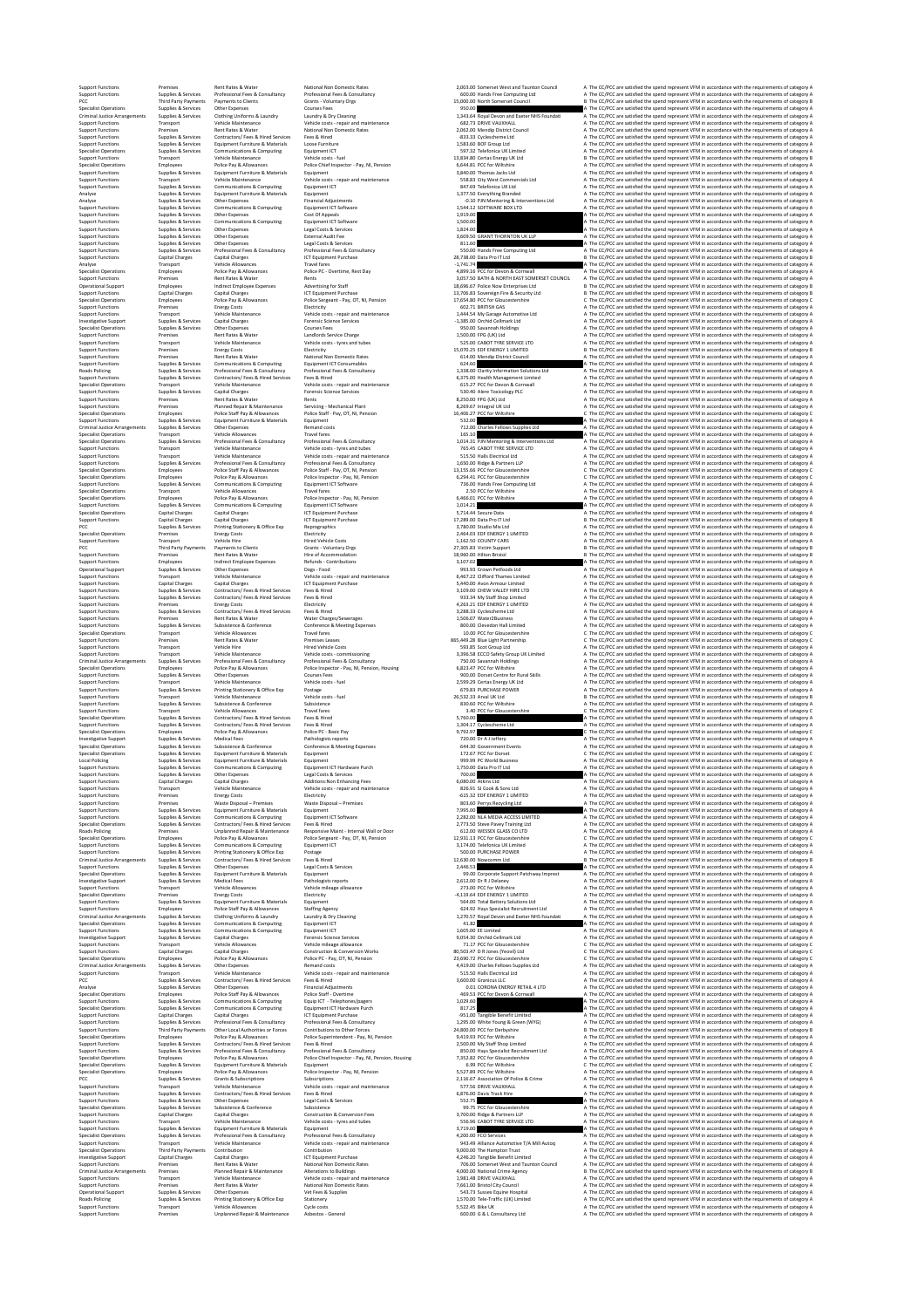Cheral Supplet Services On the Company of Free Supplet Services of the CONN and A The CCPCC are statisted the specifies of the construction of the construction of the construction of the construction of the construction

Superfunctions a<br>experimented to the control of the set of the set of the set of the set of the set of the set of the set of the set of the set of the set of the set of the set of the set of the set of the set of the set %hypon://www.mathemomethylenamic communications of the communications communications contained the contained communications (1,500,000 ) . The Mathemometrical of the contained the mathemometrical department of the communic Superfunctions Supering the species of the former species and the content of the content of the content of the content of the content of the content of the content of the content of the content of the content of the conte %pport understanding the state of the state of the state of the state of the state of the spectrum of the send of the send of the conditions of the equinements of the equinoment of the state of the state of the state of th Support Functions Premises Rent Rates & Water Rents 8,250.00 FPG (UK) Ltd A The CC/PCC are satisfied the spend represent VFM in accordance with the requirements of category A Support Functions Premises Planned Repair & Maintenance Servicing ‐ Mechanical Plant 8,269.67 Integral UK Ltd A The CC/PCC are satisfied the spend represent VFM in accordance with the requirements of category A Specialist Operations Employees Police Staff Pay & Allowances Police Staff ‐ Pay, OT, NI, Pension 16,406.27 PCC for Wiltshire C The CC/PCC are satisfied the spend represent VFM in accordance with the requirements of category C Support Functions Supplies & Services Equipment Furniture & Materials Equipment 532.00 A The CC/PCC are satisfied the spend represent VFM in accordance with the requirements of category A Criminal Justice Arrangements Supplies & Services Other Expenses Remand costs 712.00 Charles Fellows Supplies Ltd A The CC/PCC are satisfied the spend represent VFM in accordance with the requirements of category A Specialist Operations Transport Vehicle Allowances Travel fares 165.10 A The CC/PCC are satisfied the spend represent VFM in accordance with the requirements of category A Specialist Operations Supplies & Services Professional Fees & Consultancy Professional Fees & Consultancy 1,014.31 PJN Mentoring & Interventions Ltd A The CC/PCC are satisfied the spend represent VFM in accordance with the requirements of category A Support Functions Transport Vehicle Maintenance Vehicle costs ‐ tyres and tubes 765.45 CABOT TYRE SERVICE LTD A The CC/PCC are satisfied the spend represent VFM in accordance with the requirements of category A Support Functions Transport Vehicle Maintenance Vehicle costs ‐ repair and maintenance 515.50 Halls Electrical Ltd A The CC/PCC are satisfied the spend represent VFM in accordance with the requirements of category A Support Functions Supplies & Services Professional Fees & Consultancy Professional Fees & Consultancy 1,650.00 Ridge & Partners LLP A The CC/PCC are satisfied the spend represent VFM in accordance with the requirements of category A Specialist Operations Employees Police Staff Pay & Allowances Police Staff ‐ Pay, OT, NI, Pension 13,155.66 PCC for Gloucestershire C The CC/PCC are satisfied the spend represent VFM in accordance with the requirements of category C Specialist Operations Employees Police Pay & Allowances Police Inspector ‐ Pay, NI, Pension 6,294.41 PCC for Gloucestershire C The CC/PCC are satisfied the spend represent VFM in accordance with the requirements of category C Support Functions Supplies & Services Communications & Computing Equipment ICT Software 736.00 Hands Free Computing Ltd A The CC/PCC are satisfied the spend represent VFM in accordance with the requirements of category A Specialist Operations Transport Vehicle Allowances Travel fares 2.50 PCC for Wiltshire A The CC/PCC are satisfied the spend represent VFM in accordance with the requirements of category A Specialist Operations Employees Police Pay & Allowances Police Inspector ‐ Pay, NI, Pension 6,466.01 PCC for Wiltshire A The CC/PCC are satisfied the spend represent VFM in accordance with the requirements of category A Support Functions Supplies & Services Communications & Computing Equipment ICT Software 1,014.21 A The CC/PCC are satisfied the spend represent VFM in accordance with the requirements of category A Specialist Operations Capital Charges Capital Charges ICT Equipment Purchase 5,714.44 Secure Data A The CC/PCC are satisfied the spend represent VFM in accordance with the requirements of category A Support Functions Capital Charges Capital Charges ICT Equipment Purchase 17,289.00 Data Pro IT Ltd B The CC/PCC are satisfied the spend represent VFM in accordance with the requirements of category B PCC Supplies & Services Printing Stationery & Office Exp Reprographics 3,780.00 Studio Mix Ltd A The CC/PCC are satisfied the spend represent VFM in accordance with the requirements of category A Specialist Operations Premises Energy Costs Electricity 2,464.03 EDF ENERGY 1 LIMITED A The CC/PCC are satisfied the spend represent VFM in accordance with the requirements of category A Support Functions Transport Vehicle Hire Hired Vehicle Costs 1,162.50 COUNTY CARS A The CC/PCC are satisfied the spend represent VFM in accordance with the requirements of category A PCC Third Party Payments Payments to Clients Grants ‐ Voluntary Orgs 27,305.83 Victim Support B The CC/PCC are satisfied the spend represent VFM in accordance with the requirements of category B Support Functions Premises Rent Rates & Water Hire of Accommodation 18,960.00 Hilton Bristol B The CC/PCC are satisfied the spend represent VFM in accordance with the requirements of category B Support Functions Employees Indirect Employee Expenses Refunds ‐ Contributions 3,107.02 A The CC/PCC are satisfied the spend represent VFM in accordance with the requirements of category A Operational Support Supplies & Services Other Expenses Dogs ‐ Food 993.93 Crown Petfoods Ltd A The CC/PCC are satisfied the spend represent VFM in accordance with the requirements of category A Support Functions Transport Vehicle Maintenance Vehicle costs ‐ repair and maintenance 6,467.22 Clifford Thames Limited A The CC/PCC are satisfied the spend represent VFM in accordance with the requirements of category A Support Functions Capital Charges Capital Charges ICT Equipment Purchase 5,440.00 Avon Armour Limited A The CC/PCC are satisfied the spend represent VFM in accordance with the requirements of category A Support Functions Supplies & Services Contractors/ Fees & Hired Services Fees & Hired 3,109.00 CHEW VALLEY HIRE LTD A The CC/PCC are satisfied the spend represent VFM in accordance with the requirements of category A Support Functions Supplies & Services Contractors/ Fees & Hired Services Fees & Hired 933.34 My Staff Shop Limited A The CC/PCC are satisfied the spend represent VFM in accordance with the requirements of category A Support Functions Premises Energy Costs Electricity 4,263.21 EDF ENERGY 1 LIMITED A The CC/PCC are satisfied the spend represent VFM in accordance with the requirements of category A Support Functions Supplies & Services Contractors/ Fees & Hired Services Fees & Hired 3,288.33 Cyclescheme Ltd A The CC/PCC are satisfied the spend represent VFM in accordance with the requirements of category A Support Functions Premises Rent Rates & Water Water Charges/Sewerages 1,506.07 Water2Business A The CC/PCC are satisfied the spend represent VFM in accordance with the requirements of category A Support Functions Supplies & Services Subsistence & Conference Conference & Meeting Expenses 800.00 Clevedon Hall Limited A The CC/PCC are satisfied the spend represent VFM in accordance with the requirements of category A Specialist Operations Transport Vehicle Allowances Travel fares 10.00 PCC for Gloucestershire C The CC/PCC are satisfied the spend represent VFM in accordance with the requirements of category C Support Functions Premises Rent Rates & Water Premises Leases 865,449.28 Blue Light Partnership C The CC/PCC are satisfied the spend represent VFM in accordance with the requirements of category C Support Functions Transport Vehicle Hire Hired Vehicle Costs 593.85 Scot Group Ltd A The CC/PCC are satisfied the spend represent VFM in accordance with the requirements of category A Support Functions Transport Vehicle Maintenance Vehicle costs ‐ commissioning 3,396.58 ECCO Safety Group UK Limited A The CC/PCC are satisfied the spend represent VFM in accordance with the requirements of category A Criminal Justice Arrangements Supplies & Services Professional Fees & Consultancy Professional Fees & Consultancy 750.00 Savannah Holdings A The CC/PCC are satisfied the spend represent VFM in accordance with the requirements of category A Specialist Operations Employees Police Pay & Allowances Police Inspector ‐ Pay, NI, Pension, Housing 6,823.47 PCC for Wiltshire A The CC/PCC are satisfied the spend represent VFM in accordance with the requirements of category A Support Functions Supplies & Services Other Expenses Courses Fees 900.00 Dorset Centre for Rural Skills A The CC/PCC are satisfied the spend represent VFM in accordance with the requirements of category A Support Functions Transport Vehicle Maintenance Vehicle costs ‐ fuel 2,599.29 Certas Energy UK Ltd A The CC/PCC are satisfied the spend represent VFM in accordance with the requirements of category A Support Functions Supplies & Services Printing Stationery & Office Exp Postage 679.83 PURCHASE POWER A The CC/PCC are satisfied the spend represent VFM in accordance with the requirements of category A Support Functions Transport Vehicle Maintenance Vehicle costs ‐ fuel 26,532.33 Arval UK Ltd B The CC/PCC are satisfied the spend represent VFM in accordance with the requirements of category B Support Functions Supplies & Services Subsistence & Conference Subsistence 830.60 PCC for Wiltshire A The CC/PCC are satisfied the spend represent VFM in accordance with the requirements of category A Support Functions Transport Vehicle Allowances Travel fares 3.40 PCC for Gloucestershire C The CC/PCC are satisfied the spend represent VFM in accordance with the requirements of category C Specialist Operations Supplies & Services Contractors/ Fees & Hired Services Fees & Hired 5,760.00 A The CC/PCC are satisfied the spend represent VFM in accordance with the requirements of category A Support Functions Supplies & Services Contractors/ Fees & Hired Services Fees & Hired 1,304.17 Cyclescheme Ltd A The CC/PCC are satisfied the spend represent VFM in accordance with the requirements of category A Specialist Operations Employees Police Pay & Allowances Police PC ‐ Basic Pay 9,792.97 C The CC/PCC are satisfied the spend represent VFM in accordance with the requirements of category C Investigative Support Supplies & Services Medical Fees Pathologists reports 720.00 Dr A J Jeffery A The CC/PCC are satisfied the spend represent VFM in accordance with the requirements of category A Specialist Operations Supplies & Services Subsistence & Conference Conference & Meeting Expenses 644.30 Government Events A The CC/PCC are satisfied the spend represent VFM in accordance with the requirements of category A Specialist Operations Supplies & Services Equipment Furniture & Materials Equipment 172.67 PCC for Dorset C The CC/PCC are satisfied the spend represent VFM in accordance with the requirements of category C Local Policing Supplies & Services Equipment Furniture & Materials Equipment 999.99 PC World Business A The CC/PCC are satisfied the spend represent VFM in accordance with the requirements of category A Support Functions Supplies & Services Communications & Computing Equipment ICT Hardware Purch 1,750.00 Data Pro IT Ltd A The CC/PCC are satisfied the spend represent VFM in accordance with the requirements of category A Support Functions Supplies & Services Other Expenses Legal Costs & Services 700.00 A The CC/PCC are satisfied the spend represent VFM in accordance with the requirements of category A Support Functions Capital Charges Capital Charges Additions:Non Enhancing Fees 6,080.00 Atkins Ltd A The CC/PCC are satisfied the spend represent VFM in accordance with the requirements of category A Support Functions Transport Vehicle Maintenance Vehicle costs ‐ repair and maintenance 826.91 SJ Cook & Sons Ltd A The CC/PCC are satisfied the spend represent VFM in accordance with the requirements of category A Support Functions Premises Energy Costs Electricity ‐615.32 EDF ENERGY 1 LIMITED A The CC/PCC are satisfied the spend represent VFM in accordance with the requirements of category A Support Functions Premises Waste Disposal – Premises Waste Disposal – Premises 803.60 Perrys Recycling Ltd A The CC/PCC are satisfied the spend represent VFM in accordance with the requirements of category A Support Functions Supplies & Services Equipment Furniture & Materials Equipment 7,995.00 A The CC/PCC are satisfied the spend represent VFM in accordance with the requirements of category A Support Functions Supplies & Services Communications & Computing Equipment ICT Software 2,282.00 NLA MEDIA ACCESS LIMITED A The CC/PCC are satisfied the spend represent VFM in accordance with the requirements of category A Specialist Operations Supplies & Services Contractors/ Fees & Hired Services Fees & Hired 2,773.50 Steve Pavey Training Ltd A The CC/PCC are satisfied the spend represent VFM in accordance with the requirements of category A Roads Policing Premises Unplanned Repair & Maintenance Responsive Maint ‐ Internal Wall or Door 612.00 WESSEX GLASS CO LTD A The CC/PCC are satisfied the spend represent VFM in accordance with the requirements of category A Specialist Operations Employees Police Pay & Allowances Police Sergeant ‐ Pay, OT, NI, Pension 12,931.13 PCC for Gloucestershire C The CC/PCC are satisfied the spend represent VFM in accordance with the requirements of category C Support Functions Supplies & Services Communications & Computing Equipment ICT 3,174.00 Telefonica UK Limited A The CC/PCC are satisfied the spend represent VFM in accordance with the requirements of category A Support Functions Supplies & Services Printing Stationery & Office Exp Postage 500.00 PURCHASE POWER A The CC/PCC are satisfied the spend represent VFM in accordance with the requirements of category A Criminal Justice Arrangements Supplies & Services Contractors/ Fees & Hired Services Fees & Hired 12,630.00 Nowcomm Ltd B The CC/PCC are satisfied the spend represent VFM in accordance with the requirements of category B Support Functions Supplies & Services Other Expenses Legal Costs & Services 2,446.53 A The CC/PCC are satisfied the spend represent VFM in accordance with the requirements of category A Specialist Operations Supplies & Services Equipment Furniture & Materials Equipment 99.00 Corporate Support Patchway Imprest A The CC/PCC are satisfied the spend represent VFM in accordance with the requirements of category A Investigative Support Supplies & Services Medical Fees Pathologists reports 2,612.00 Dr R J Delaney A The CC/PCC are satisfied the spend represent VFM in accordance with the requirements of category A Support Functions Transport Vehicle Allowances Vehicle mileage allowance 273.00 PCC for Wiltshire A The CC/PCC are satisfied the spend represent VFM in accordance with the requirements of category A Specialist Operations Premises Energy Costs Electricity ‐4,119.64 EDF ENERGY 1 LIMITED A The CC/PCC are satisfied the spend represent VFM in accordance with the requirements of category A Support Functions Supplies & Services Equipment Furniture & Materials Equipment 564.00 Total Battery Solutions Ltd A The CC/PCC are satisfied the spend represent VFM in accordance with the requirements of category A Support Functions Employees Police Staff Pay & Allowances Staffing Agency 624.92 Hays Specialist Recruitment Ltd A The CC/PCC are satisfied the spend represent VFM in accordance with the requirements of category A Criminal Justice Arrangements Supplies & Services Clothing Uniforms & Laundry Laundry & Dry Cleaning 1,270.57 Royal Devon and Exeter NHS Foundati A The CC/PCC are satisfied the spend represent VFM in accordance with the requirements of category A Specialist Operations Supplies & Services Communications & Computing Equipment ICT 41.82 A The CC/PCC are satisfied the spend represent VFM in accordance with the requirements of category A Support Functions Supplies & Services Communications & Computing Equipment ICT 1,605.00 EE Limited A The CC/PCC are satisfied the spend represent VFM in accordance with the requirements of category A Investigative Support Supplies & Services Capital Charges Forensic Science Services 9,054.30 Orchid Cellmark Ltd A The CC/PCC are satisfied the spend represent VFM in accordance with the requirements of category A Support Functions Transport Vehicle Allowances Vehicle mileage allowance 71.17 PCC for Gloucestershire C The CC/PCC are satisfied the spend represent VFM in accordance with the requirements of category C Support Functions Capital Charges Capital Charges Construction & Conversion Works 80,503.47 D R Jones (Yeovil) Ltd C The CC/PCC are satisfied the spend represent VFM in accordance with the requirements of category C Specialist Operations Employees Police Pay & Allowances Police PC ‐ Pay, OT, NI, Pension 23,690.72 PCC for Gloucestershire C The CC/PCC are satisfied the spend represent VFM in accordance with the requirements of category C Criminal Justice Arrangements Supplies & Services Other Expenses Remand costs 4,419.00 Charles Fellows Supplies Ltd A The CC/PCC are satisfied the spend represent VFM in accordance with the requirements of category A Support Functions Transport Vehicle Maintenance Vehicle costs ‐ repair and maintenance 515.50 Halls Electrical Ltd A The CC/PCC are satisfied the spend represent VFM in accordance with the requirements of category A PCC Supplies & Services Contractors/ Fees & Hired Services Fees & Hired 3,600.00 Granicus LLC A The CC/PCC are satisfied the spend represent VFM in accordance with the requirements of category A Analyse Supplies & Services Other Expenses Financial Adjustments 0.01 CORONA ENERGY RETAIL 4 LTD A The CC/PCC are satisfied the spend represent VFM in accordance with the requirements of category A Specialist Operations Employees Police Staff Pay & Allowances Police Staff ‐ Overtime 469.53 PCC for Devon & Cornwall A The CC/PCC are satisfied the spend represent VFM in accordance with the requirements of category A Support Functions Supplies & Services Communications & Computing Equip ICT ‐ Telephones/pagers 1,029.60 A The CC/PCC are satisfied the spend represent VFM in accordance with the requirements of category A Specialist Operations Supplies & Services Communications & Computing Equipment ICT Hardware Purch 817.25 A The CC/PCC are satisfied the spend represent VFM in accordance with the requirements of category A Support Functions Capital Charges Capital Charges ICT Equipment Purchase ‐951.00 Tangible Benefit Limited A The CC/PCC are satisfied the spend represent VFM in accordance with the requirements of category A Support Functions Supplies & Services Professional Fees & Consultancy Professional Fees & Consultancy 1,295.00 White Young & Green (WYG) A The CC/PCC are satisfied the spend represent VFM in accordance with the requirements of category A Support Functions Third Party Payments Other Local Authorities or Forces Contributions to Other Forces 24,800.00 PCC for Derbyshire B The CC/PCC are satisfied the spend represent VFM in accordance with the requirements of category B Specialist Operations Employees Police Pay & Allowances Police Superintendent ‐ Pay, NI, Pension 9,419.93 PCC for Wiltshire A The CC/PCC are satisfied the spend represent VFM in accordance with the requirements of category A Support Functions Supplies & Services Contractors/ Fees & Hired Services Fees & Hired 2,500.00 My Staff Shop Limited A The CC/PCC are satisfied the spend represent VFM in accordance with the requirements of category A Support Functions Supplies & Services Professional Fees & Consultancy Professional Fees & Consultancy 850.00 Hays Specialist Recruitment Ltd A The CC/PCC are satisfied the spend represent VFM in accordance with the requirements of category A Specialist Operations Employees Police Pay & Allowances Police Chief Inspector ‐ Pay, NI, Pension, Housing 7,352.82 PCC for Gloucestershire A The CC/PCC are satisfied the spend represent VFM in accordance with the requirements of category A Specialist Operations Supplies & Services Equipment Furniture & Materials Equipment 6.99 PCC for Wiltshire C The CC/PCC are satisfied the spend represent VFM in accordance with the requirements of category C Specialist Operations Employees Police Pay & Allowances Police Inspector ‐ Pay, NI, Pension 5,527.89 PCC for Wiltshire A The CC/PCC are satisfied the spend represent VFM in accordance with the requirements of category A PCC Supplies & Services Grants & Subscriptions Subscriptions 2,116.67 Association Of Police & Crime A The CC/PCC are satisfied the spend represent VFM in accordance with the requirements of category A Support Functions Transport Vehicle Maintenance Vehicle costs ‐ repair and maintenance 577.56 DRIVE VAUXHALL A The CC/PCC are satisfied the spend represent VFM in accordance with the requirements of category A Support Functions Supplies & Services Contractors/ Fees & Hired Services Fees & Hired 6,876.00 Davis Track Hire A The CC/PCC are satisfied the spend represent VFM in accordance with the requirements of category A Support Functions Supplies & Services Other Expenses Legal Costs & Services 552.75 A The CC/PCC are satisfied the spend represent VFM in accordance with the requirements of category A Specialist Operations Supplies & Services Subsistence & Conference Subsistence 99.75 PCC for Gloucestershire A The CC/PCC are satisfied the spend represent VFM in accordance with the requirements of category A Support Functions Capital Charges Capital Charges Construction & Conversion Fees 3,700.00 Ridge & Partners LLP A The CC/PCC are satisfied the spend represent VFM in accordance with the requirements of category A Support Functions Transport Vehicle Maintenance Vehicle costs ‐ tyres and tubes 556.96 CABOT TYRE SERVICE LTD A The CC/PCC are satisfied the spend represent VFM in accordance with the requirements of category A Support Functions Supplies & Services Equipment Furniture & Materials Equipment 3,719.00 A The CC/PCC are satisfied the spend represent VFM in accordance with the requirements of category A Specialist Operations Supplies & Services Professional Fees & Consultancy Professional Fees & Consultancy 4,200.00 FCO Services A The CC/PCC are satisfied the spend represent VFM in accordance with the requirements of category A Support Functions Transport Vehicle Maintenance Vehicle costs ‐ repair and maintenance 943.49 Alliance Automotive T/A Mill Autoq A The CC/PCC are satisfied the spend represent VFM in accordance with the requirements of category A Specialist Operations Third Party Payments Contribution Contribution 9,000.00 The Hampton Trust A The CC/PCC are satisfied the spend represent VFM in accordance with the requirements of category A Investigative Support Capital Charges Capital Charges ICT Equipment Purchase 4,246.20 Tangible Benefit Limited A The CC/PCC are satisfied the spend represent VFM in accordance with the requirements of category A Support Functions Premises Rent Rates & Water National Non Domestic Rates 706.00 Somerset West and Taunton Council A The CC/PCC are satisfied the spend represent VFM in accordance with the requirements of category A Criminal Justice Arrangements Premises Planned Repair & Maintenance Alterations to Buildings 4,000.00 National Crime Agency B The CC/PCC are satisfied the spend represent VFM in accordance with the requirements of category B Support Functions Transport Vehicle Maintenance Vehicle costs ‐ repair and maintenance 1,981.48 DRIVE VAUXHALL A The CC/PCC are satisfied the spend represent VFM in accordance with the requirements of category A Support Functions Premises Rent Rates & Water National Non Domestic Rates 7,661.00 Bristol City Council A The CC/PCC are satisfied the spend represent VFM in accordance with the requirements of category A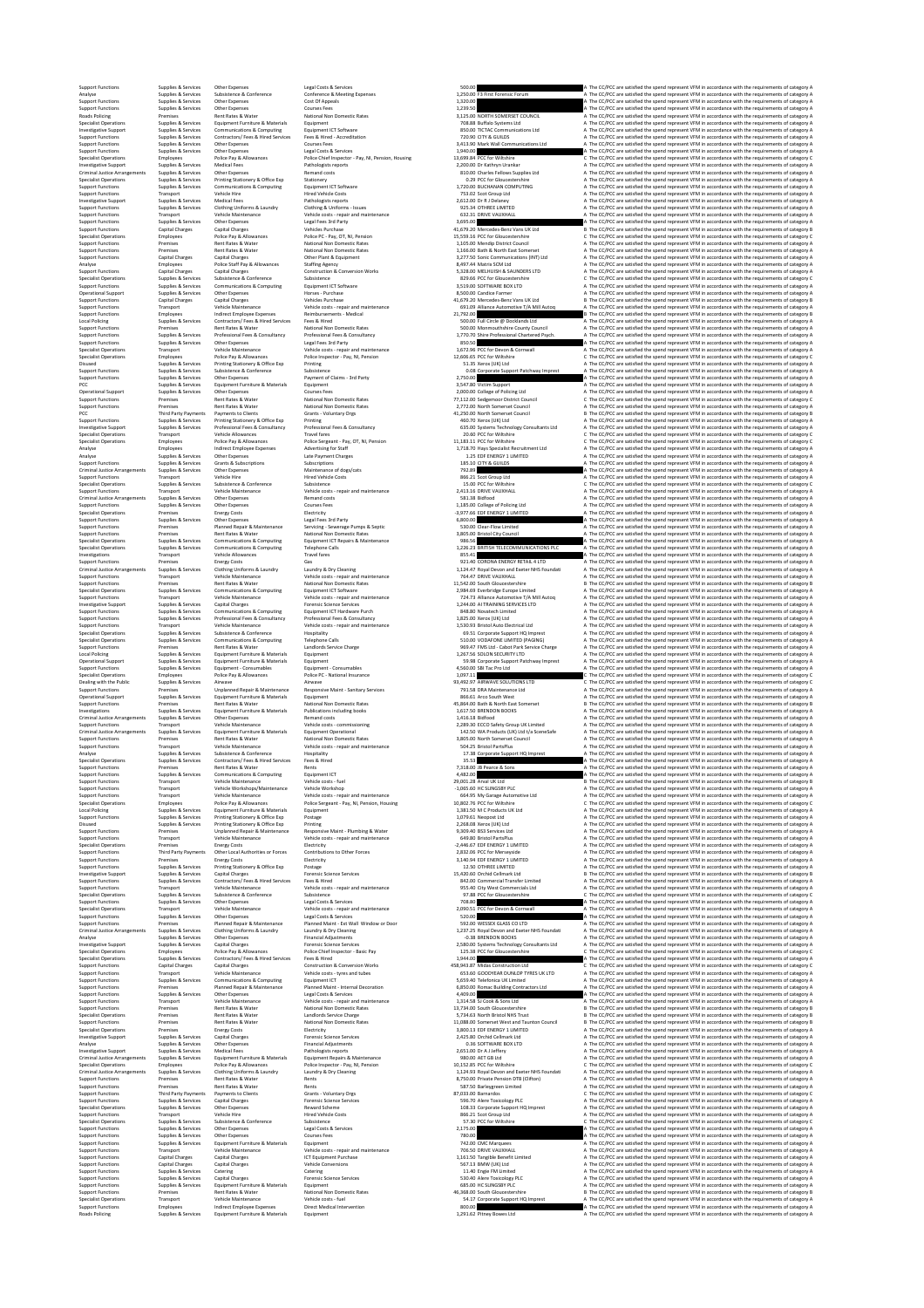Support Functions Supplies & Services Other Expenses Legal Costs & Services 500.00 A The CC/PCC are satisfied the spend represent VFM in accordance with the requirements of category A Analyse Supplies & Services Subsistence & Conference Conference & Meeting Expenses 1,250.00 F3 First Forensic Forum A The CC/PCC are satisfied the spend represent VFM in accordance with the requirements of category A Support Functions Supplies & Services Other Expenses Cost Of Appeals 1,320.00 A The CC/PCC are satisfied the spend represent VFM in accordance with the requirements of category A Support Functions Supplies & Services Other Expenses Courses Fees 1,239.50 A The CC/PCC are satisfied the spend represent VFM in accordance with the requirements of category A Roads Policing Premises Rent Rates & Water National Non Domestic Rates 3,125.00 NORTH SOMERSET COUNCIL A The CC/PCC are satisfied the spend represent VFM in accordance with the requirements of category A Specialist Operations Supplies & Services Equipment Furniture & Materials Equipment 708.88 Buffalo Systems Ltd A The CC/PCC are satisfied the spend represent VFM in accordance with the requirements of category A Investigative Support Supplies & Services Communications & Computing Equipment ICT Software 850.00 TICTAC Communications Ltd A The CC/PCC are satisfied the spend represent VFM in accordance with the requirements of category A Support Functions Supplies & Services Contractors/ Fees & Hired Services Fees & Hired ‐ Accreditation 720.90 CITY & GUILDS A The CC/PCC are satisfied the spend represent VFM in accordance with the requirements of category A Support Functions Supplies & Services Other Expenses Courses Fees 3,413.90 Mark Wall Communications Ltd A The CC/PCC are satisfied the spend represent VFM in accordance with the requirements of category A Support Functions Supplies & Services Other Expenses Legal Costs & Services 1,940.00 A The CC/PCC are satisfied the spend represent VFM in accordance with the requirements of category A Specialist Operations Employees Police Pay & Allowances Police Chief Inspector ‐ Pay, NI, Pension, Housing 13,699.84 PCC for Wiltshire C The CC/PCC are satisfied the spend represent VFM in accordance with the requirements of category C Investigative Support Supplies & Services Medical Fees Pathologists reports 2,200.00 Dr Kathryn Urankar A The CC/PCC are satisfied the spend represent VFM in accordance with the requirements of category A Criminal Justice Arrangements Supplies & Services Other Expenses Remand costs 810.00 Charles Fellows Supplies Ltd A The CC/PCC are satisfied the spend represent VFM in accordance with the requirements of category A Specialist Operations Supplies & Services Printing Stationery & Office Exp Stationery 0.29 PCC for Gloucestershire A The CC/PCC are satisfied the spend represent VFM in accordance with the requirements of category A Support Functions Supplies & Services Communications & Computing Equipment ICT Software 1,720.00 BUCHANAN COMPUTING A The CC/PCC are satisfied the spend represent VFM in accordance with the requirements of category A Support Functions Transport Vehicle Hire Hired Vehicle Costs 753.02 Scot Group Ltd A The CC/PCC are satisfied the spend represent VFM in accordance with the requirements of category A Investigative Support Supplies & Services Medical Fees Pathologists reports 2,612.00 Dr R J Delaney A The CC/PCC are satisfied the spend represent VFM in accordance with the requirements of category A Support Functions Supplies & Services Clothing Uniforms & Laundry Clothing & Uniforms ‐ Issues 925.34 OTHREE LIMITED A The CC/PCC are satisfied the spend represent VFM in accordance with the requirements of category A Support Functions Transport Vehicle Maintenance Vehicle costs ‐ repair and maintenance 632.31 DRIVE VAUXHALL A The CC/PCC are satisfied the spend represent VFM in accordance with the requirements of category A Support Functions Supplies & Services Other Expenses Legal Fees 3rd Party 3,695.00 A The CC/PCC are satisfied the spend represent VFM in accordance with the requirements of category A Support Functions Capital Charges Capital Charges Vehicles Purchase 41,679.20 Mercedes‐Benz Vans UK Ltd B The CC/PCC are satisfied the spend represent VFM in accordance with the requirements of category B Specialist Operations Employees Police Pay & Allowances Police PC ‐ Pay, OT, NI, Pension 15,559.16 PCC for Gloucestershire C The CC/PCC are satisfied the spend represent VFM in accordance with the requirements of category C Support Functions Premises Rent Rates & Water National Non Domestic Rates 1,105.00 Mendip District Council A The CC/PCC are satisfied the spend represent VFM in accordance with the requirements of category A Support Functions Premises Rent Rates & Water National Non Domestic Rates 1,166.00 Bath & North East Somerset A The CC/PCC are satisfied the spend represent VFM in accordance with the requirements of category A Support Functions Capital Charges Capital Charges Other Plant & Equipment 3,277.50 Sonic Communications (INT) Ltd A The CC/PCC are satisfied the spend represent VFM in accordance with the requirements of category A Analyse Employees Police Staff Pay & Allowances Staffing Agency 8,497.44 Matrix SCM Ltd A The CC/PCC are satisfied the spend represent VFM in accordance with the requirements of category A Support Functions Capital Charges Capital Charges Construction & Conversion Works 5,328.00 MELHUISH & SAUNDERS LTD A The CC/PCC are satisfied the spend represent VFM in accordance with the requirements of category A Specialist Operations Supplies & Services Subsistence & Conference Subsistence 829.66 PCC for Gloucestershire C The CC/PCC are satisfied the spend represent VFM in accordance with the requirements of category C Support Functions Supplies & Services Communications & Computing Equipment ICT Software 3,519.00 SOFTWARE BOX LTD A The CC/PCC are satisfied the spend represent VFM in accordance with the requirements of category A Operational Support Supplies & Services Other Expenses Horses ‐ Purchase 8,500.00 Candice Farmer A The CC/PCC are satisfied the spend represent VFM in accordance with the requirements of category A Support Functions Capital Charges Capital Charges Vehicles Purchase 41,679.20 Mercedes‐Benz Vans UK Ltd B The CC/PCC are satisfied the spend represent VFM in accordance with the requirements of category B Support Functions Transport Vehicle Maintenance Vehicle costs ‐ repair and maintenance 691.09 Alliance Automotive T/A Mill Autoq A The CC/PCC are satisfied the spend represent VFM in accordance with the requirements of category A Support Functions Employees Indirect Employee Expenses Reimbursements ‐ Medical 21,792.00 B The CC/PCC are satisfied the spend represent VFM in accordance with the requirements of category B Local Policing Supplies & Services Contractors/ Fees & Hired Services Fees & Hired 500.00 Full Circle @ Docklands Ltd A The CC/PCC are satisfied the spend represent VFM in accordance with the requirements of category A Support Functions Premises Rent Rates & Water National Non Domestic Rates 500.00 Monmouthshire County Council A The CC/PCC are satisfied the spend represent VFM in accordance with the requirements of category A Support Functions Supplies & Services Professional Fees & Consultancy Professional Fees & Consultancy 1,770.70 Shire Professional Chartered Psych. A The CC/PCC are satisfied the spend represent VFM in accordance with the requirements of category A Support Functions Supplies & Services Other Expenses Legal Fees 3rd Party 850.50 A The CC/PCC are satisfied the spend represent VFM in accordance with the requirements of category A Specialist Operations Transport Vehicle Maintenance Vehicle costs ‐ repair and maintenance 1,672.96 PCC for Devon & Cornwall A The CC/PCC are satisfied the spend represent VFM in accordance with the requirements of category A Specialist Operations Employees Police Pay & Allowances Police Inspector ‐ Pay, NI, Pension 12,606.65 PCC for Wiltshire C The CC/PCC are satisfied the spend represent VFM in accordance with the requirements of category C Disused Supplies & Services Printing Stationery & Office Exp Printing 51.35 Xerox (UK) Ltd A The CC/PCC are satisfied the spend represent VFM in accordance with the requirements of category A Support Functions Supplies & Services Subsistence & Conference Subsistence 0.08 Corporate Support Patchway Imprest A The CC/PCC are satisfied the spend represent VFM in accordance with the requirements of category A Support Functions Supplies & Services Other Expenses Payment of Claims ‐ 3rd Party 2,750.00 A The CC/PCC are satisfied the spend represent VFM in accordance with the requirements of category A PCC Supplies & Services Equipment Furniture & Materials Equipment 3,547.80 Victim Support A The CC/PCC are satisfied the spend represent VFM in accordance with the requirements of category A Operational Support Supplies & Services Other Expenses Courses Fees 2,000.00 College of Policing Ltd A The CC/PCC are satisfied the spend represent VFM in accordance with the requirements of category A Support Functions Premises Rent Rates & Water National Non Domestic Rates 77,112.00 Sedgemoor District Council C The CC/PCC are satisfied the spend represent VFM in accordance with the requirements of category C Support Functions Premises Rent Rates & Water National Non Domestic Rates 2,772.00 North Somerset Council A The CC/PCC are satisfied the spend represent VFM in accordance with the requirements of category A PCC Third Party Payments Payments to Clients Grants ‐ Voluntary Orgs 41,250.00 North Somerset Council B The CC/PCC are satisfied the spend represent VFM in accordance with the requirements of category B Support Functions Supplies & Services Printing Stationery & Office Exp Printing 460.70 Xerox (UK) Ltd A The CC/PCC are satisfied the spend represent VFM in accordance with the requirements of category A Investigative Support Supplies & Services Professional Fees & Consultancy Professional Fees & Consultancy 635.00 Systems Technology Consultants Ltd A The CC/PCC are satisfied the spend represent VFM in accordance with the requirements of category A Specialist Operations Transport Vehicle Allowances Travel fares 20.60 PCC for Wiltshire C The CC/PCC are satisfied the spend represent VFM in accordance with the requirements of category C Specialist Operations Employees Police Pay & Allowances Police Sergeant ‐ Pay, OT, NI, Pension 11,183.11 PCC for Wiltshire C The CC/PCC are satisfied the spend represent VFM in accordance with the requirements of category C Analyse Employees Indirect Employee Expenses Advertising for Staff 1,718.70 Hays Specialist Recruitment Ltd A The CC/PCC are satisfied the spend represent VFM in accordance with the requirements of category A Analyse Supplies & Services Other Expenses Late Payment Charges 1.25 EDF ENERGY 1 LIMITED A The CC/PCC are satisfied the spend represent VFM in accordance with the requirements of category A Support Functions Supplies & Services Grants & Subscriptions Subscriptions 185.10 CITY & GUILDS A The CC/PCC are satisfied the spend represent VFM in accordance with the requirements of category A Criminal Justice Arrangements Supplies & Services Other Expenses Maintenance of dogs/cats 792.89 A The CC/PCC are satisfied the spend represent VFM in accordance with the requirements of category A Support Functions Transport Vehicle Hire Hired Vehicle Costs 866.21 Scot Group Ltd A The CC/PCC are satisfied the spend represent VFM in accordance with the requirements of category A Specialist Operations Supplies & Services Subsistence & Conference Subsistence 15.00 PCC for Wiltshire C The CC/PCC are satisfied the spend represent VFM in accordance with the requirements of category C Support Functions Transport Vehicle Maintenance Vehicle costs ‐ repair and maintenance 2,413.16 DRIVE VAUXHALL A The CC/PCC are satisfied the spend represent VFM in accordance with the requirements of category A Criminal Justice Arrangements Supplies & Services Other Expenses Remand costs 581.38 Bidfood A The CC/PCC are satisfied the spend represent VFM in accordance with the requirements of category A Support Functions Supplies & Services Other Expenses Courses Fees 1,185.00 College of Policing Ltd A The CC/PCC are satisfied the spend represent VFM in accordance with the requirements of category A Specialist Operations Premises Energy Costs Electricity ‐3,977.66 EDF ENERGY 1 LIMITED A The CC/PCC are satisfied the spend represent VFM in accordance with the requirements of category A Support Functions Supplies & Services Other Expenses Legal Fees 3rd Party 6,800.00 A The CC/PCC are satisfied the spend represent VFM in accordance with the requirements of category A Support Functions Premises Planned Repair & Maintenance Servicing ‐ Sewerage Pumps & Septic 530.00 Clear‐Flow Limited A The CC/PCC are satisfied the spend represent VFM in accordance with the requirements of category A Support Functions Premises Rent Rates & Water National Non Domestic Rates 3,805.00 Bristol City Council A The CC/PCC are satisfied the spend represent VFM in accordance with the requirements of category A Specialist Operations Supplies & Services Communications & Computing Equipment ICT Repairs & Maintenance 986.56 A The CC/PCC are satisfied the spend represent VFM in accordance with the requirements of category A Specialist Operations Supplies & Services Communications & Computing Telephone Calls 1,226.23 BRITISH TELECOMMUNICATIONS PLC A The CC/PCC are satisfied the spend represent VFM in accordance with the requirements of category A Investigations Transport Vehicle Allowances Travel fares 855.41 A The CC/PCC are satisfied the spend represent VFM in accordance with the requirements of category A Support Functions Premises Energy Costs Gas 921.40 CORONA ENERGY RETAIL 4 LTD A The CC/PCC are satisfied the spend represent VFM in accordance with the requirements of category A Criminal Justice Arrangements Supplies & Services Clothing Uniforms & Laundry Laundry & Dry Cleaning 1,124.47 Royal Devon and Exeter NHS Foundati A The CC/PCC are satisfied the spend represent VFM in accordance with the requirements of category A Support Functions Transport Vehicle Maintenance Vehicle costs ‐ repair and maintenance 764.47 DRIVE VAUXHALL A The CC/PCC are satisfied the spend represent VFM in accordance with the requirements of category A Support Functions Premises Rent Rates & Water National Non Domestic Rates 11,542.00 South Gloucestershire B The CC/PCC are satisfied the spend represent VFM in accordance with the requirements of category B Specialist Operations Supplies & Services Communications & Computing Equipment ICT Software 2,984.69 Everbridge Europe Limited A The CC/PCC are satisfied the spend represent VFM in accordance with the requirements of category A Support Functions Transport Vehicle Maintenance Vehicle costs ‐ repair and maintenance 724.73 Alliance Automotive T/A Mill Autoq A The CC/PCC are satisfied the spend represent VFM in accordance with the requirements of category A Investigative Support Supplies & Services Capital Charges Forensic Science Services 1,244.00 AI TRAINING SERVICES LTD A The CC/PCC are satisfied the spend represent VFM in accordance with the requirements of category A Support Functions Supplies & Services Communications & Computing Equipment ICT Hardware Purch 848.80 Novatech Limited A The CC/PCC are satisfied the spend represent VFM in accordance with the requirements of category A Support Functions Supplies & Services Professional Fees & Consultancy Professional Fees & Consultancy 1,825.00 Xerox (UK) Ltd A The CC/PCC are satisfied the spend represent VFM in accordance with the requirements of category A Support Functions Transport Vehicle Maintenance Vehicle costs ‐ repair and maintenance 1,530.93 Bristol Auto Electrical Ltd A The CC/PCC are satisfied the spend represent VFM in accordance with the requirements of category A Specialist Operations Supplies & Services Subsistence & Conference Hospitality 69.51 Corporate Support HQ Imprest A The CC/PCC are satisfied the spend represent VFM in accordance with the requirements of category A Specialist Operations Supplies & Services Communications & Computing Telephone Calls 510.00 VODAFONE LIMITED (PAGING) A The CC/PCC are satisfied the spend represent VFM in accordance with the requirements of category A Support Functions Premises Rent Rates & Water Landlords Service Charge 969.47 FMS Ltd ‐ Cabot Park Service Charge A The CC/PCC are satisfied the spend represent VFM in accordance with the requirements of category A Local Policing Supplies & Services Equipment Furniture & Materials Equipment 1,267.56 SOLON SECURITY LTD A The CC/PCC are satisfied the spend represent VFM in accordance with the requirements of category A Operational Support Supplies & Services Equipment Furniture & Materials Equipment 59.98 Corporate Support Patchway Imprest A The CC/PCC are satisfied the spend represent VFM in accordance with the requirements of category A Support Functions Supplies & Services Equipment ‐ Consumables Equipment ‐ Consumables 4,560.00 SBI Tac Pro Ltd A The CC/PCC are satisfied the spend represent VFM in accordance with the requirements of category A Specialist Operations Police Pay & Allowances Police Pay & Allowances Police Pay & Allowances Police Pay & All<br>1971. The College of CC/PCC are satisfied the spend represent VFM in accordance with the requirements of catego Dealing with the Public Supplies & Services Airwave Airwave 93,492.97 AIRWAVE SOLUTIONS LTD C The CC/PCC are satisfied the spend represent VFM in accordance with the requirements of category C Support Functions Premises Unplanned Repair & Maintenance Responsive Maint ‐ Sanitary Services 791.58 DRA Maintenance Ltd A The CC/PCC are satisfied the spend represent VFM in accordance with the requirements of category A Operational Support Supplies & Services Equipment Furniture & Materials Equipment 866.61 Arco South West A The CC/PCC are satisfied the spend represent VFM in accordance with the requirements of category A Support Functions Premises Rent Rates & Water National Non Domestic Rates 45,864.00 Bath & North East Somerset B The CC/PCC are satisfied the spend represent VFM in accordance with the requirements of category B Investigations Supplies & Services Equipment Furniture & Materials Publications including books 1,617.50 BRENDON BOOKS A The CC/PCC are satisfied the spend represent VFM in accordance with the requirements of category A Criminal Justice Arrangements Supplies & Services Other Expenses Remand costs 1,416.18 Bidfood A The CC/PCC are satisfied the spend represent VFM in accordance with the requirements of category A Support Functions Transport Vehicle Maintenance Vehicle costs ‐ commissioning 2,289.30 ECCO Safety Group UK Limited A The CC/PCC are satisfied the spend represent VFM in accordance with the requirements of category A Criminal Justice Arrangements Supplies & Services Equipment Furniture & Materials Equipment Operational 142.50 WA Products (UK) Ltd t/a SceneSafe A The CC/PCC are satisfied the spend represent VFM in accordance with the requirements of category A Support Functions Premises Rent Rates & Water National Non Domestic Rates 3,805.00 North Somerset Council A The CC/PCC are satisfied the spend represent VFM in accordance with the requirements of category A Support Functions Transport Vehicle Maintenance Vehicle costs ‐ repair and maintenance 504.25 Bristol PartsPlus A The CC/PCC are satisfied the spend represent VFM in accordance with the requirements of category A Analyse Supplies & Services Subsistence & Conference Hospitality 17.38 Corporate Support HQ Imprest A The CC/PCC are satisfied the spend represent VFM in accordance with the requirements of category A Specialist Operations Supplies & Services Contractors/ Fees & Hired Services Fees & Hired 35.53 A The CC/PCC are satisfied the spend represent VFM in accordance with the requirements of category A Support Functions Premises Rent Rates & Water Rents 7,318.00 JB Pearce & Sons A The CC/PCC are satisfied the spend represent VFM in accordance with the requirements of category A Support Functions Supplies & Services Communications & Computing Equipment ICT 4,482.00 A The CC/PCC are satisfied the spend represent VFM in accordance with the requirements of category A Support Functions Transport Vehicle Maintenance Vehicle costs ‐ fuel 29,001.28 Arval UK Ltd B The CC/PCC are satisfied the spend represent VFM in accordance with the requirements of category B Support Functions Transport Vehicle Workshops/Maintenance Vehicle Workshop ‐1,065.60 HC SLINGSBY PLC A The CC/PCC are satisfied the spend represent VFM in accordance with the requirements of category A Support Functions Transport Vehicle Maintenance Vehicle costs ‐ repair and maintenance 664.95 My Garage Automotive Ltd A The CC/PCC are satisfied the spend represent VFM in accordance with the requirements of category A Specialist Operations Employees Police Pay & Allowances Police Sergeant ‐ Pay, NI, Pension, Housing 10,802.76 PCC for Wiltshire C The CC/PCC are satisfied the spend represent VFM in accordance with the requirements of category C Local Policing Supplies & Services Equipment Furniture & Materials Equipment 1,381.50 M C Products UK Ltd A The CC/PCC are satisfied the spend represent VFM in accordance with the requirements of category A Support Functions Supplies & Services Printing Stationery & Office Exp Postage 1,079.61 Neopost Ltd A The CC/PCC are satisfied the spend represent VFM in accordance with the requirements of category A Disused Supplies & Services Printing Stationery & Office Exp Printing 2,268.08 Xerox (UK) Ltd A The CC/PCC are satisfied the spend represent VFM in accordance with the requirements of category A Support Functions Premises Unplanned Repair & Maintenance Responsive Maint ‐ Plumbing & Water 9,309.40 BS3 Services Ltd A The CC/PCC are satisfied the spend represent VFM in accordance with the requirements of category A Support Functions Transport Vehicle Maintenance Vehicle costs ‐ repair and maintenance 649.80 Bristol PartsPlus A The CC/PCC are satisfied the spend represent VFM in accordance with the requirements of category A Specialist Operations Premises Energy Costs Electricity ‐2,446.67 EDF ENERGY 1 LIMITED A The CC/PCC are satisfied the spend represent VFM in accordance with the requirements of category A Support Functions Third Party Payments Other Local Authorities or Forces Contributions to Other Forces 2,832.06 PCC for Merseyside A The CC/PCC are satisfied the spend represent VFM in accordance with the requirements of category A Support Functions Premises Energy Costs Electricity 3,140.94 EDF ENERGY 1 LIMITED A The CC/PCC are satisfied the spend represent VFM in accordance with the requirements of category A Support Functions Supplies & Services Printing Stationery & Office Exp Postage 12.50 OTHREE LIMITED A The CC/PCC are satisfied the spend represent VFM in accordance with the requirements of category A Investigative Support Supplies & Services Capital Charges Forensic Science Services 15,420.60 Orchid Cellmark Ltd B The CC/PCC are satisfied the spend represent VFM in accordance with the requirements of category B Support Functions Supplies & Services Contractors/ Fees & Hired Services Fees & Hired 842.00 Commercial Transfer Limited A The CC/PCC are satisfied the spend represent VFM in accordance with the requirements of category A Support Functions Transport Vehicle Maintenance Vehicle costs ‐ repair and maintenance 955.40 City West Commercials Ltd A The CC/PCC are satisfied the spend represent VFM in accordance with the requirements of category A Specialist Operations Supplies & Services Subsistence & Conference Subsistence 97.88 PCC for Gloucestershire C The CC/PCC are satisfied the spend represent VFM in accordance with the requirements of category C Support Functions Supplies & Services Other Expenses Legal Costs & Services 708.80 A The CC/PCC are satisfied the spend represent VFM in accordance with the requirements of category A Specialist Operations Transport Vehicle Maintenance Vehicle costs ‐ repair and maintenance 2,090.51 PCC for Devon & Cornwall A The CC/PCC are satisfied the spend represent VFM in accordance with the requirements of category A %pport purchases and the Control of the COND of the COND and the COND and the COND and the COND and the COND and the COND and the control of the COND and the control of the control of the control of the control of the cont Police Dream of the Content of the CONFORT (POLICE) Police Dream Police Content Police Content of the CONFORT CHE CONFORT CHE CONFORT CHE (CONFORT UND A SECTION A SECTION A SECTION A SECTION A SECTION A SECTION A SECTION Support Functions Transport Vehicle Maintenance Vehicle costs ‐ tyres and tubes 653.60 GOODYEAR DUNLOP TYRES UK LTD A The CC/PCC are satisfied the spend represent VFM in accordance with the requirements of category A Support Functions Supplies & Services Communications & Computing Equipment ICT 5,659.40 Telefonica UK Limited A The CC/PCC are satisfied the spend represent VFM in accordance with the requirements of category A Support Functions Premises Planned Repair & Maintenance Planned Maint ‐ Internal Decoration 6,850.00 Romac Building Contractors Ltd A The CC/PCC are satisfied the spend represent VFM in accordance with the requirements of category A Support Functions Supplies & Services Other Expenses Legal Costs & Services 4,409.00 A The CC/PCC are satisfied the spend represent VFM in accordance with the requirements of category A Support Functions Transport Vehicle Maintenance Vehicle costs ‐ repair and maintenance 1,314.58 SJ Cook & Sons Ltd A The CC/PCC are satisfied the spend represent VFM in accordance with the requirements of category A Support Functions Premises Rent Rates & Water National Non Domestic Rates 13,734.00 South Gloucestershire B The CC/PCC are satisfied the spend represent VFM in accordance with the requirements of category B Specialist Operations Premises Rent Rates & Water Landlords Service Charge 5,734.63 North Bristol NHS Trust B The CC/PCC are satisfied the spend represent VFM in accordance with the requirements of category B Support Functions Premises Rent Rates & Water National Non Domestic Rates 11,088.00 Somerset West and Taunton Council B The CC/PCC are satisfied the spend represent VFM in accordance with the requirements of category B Specialist Operations Premises Energy Costs Electricity 3,800.13 EDF ENERGY 1 LIMITED A The CC/PCC are satisfied the spend represent VFM in accordance with the requirements of category A Investigative Support Supplies & Services Capital Charges Forensic Science Services 2,425.80 Orchid Cellmark Ltd A The CC/PCC are satisfied the spend represent VFM in accordance with the requirements of category A Analyse Supplies & Services Other Expenses Financial Adjustments 0.36 SOFTWARE BOX LTD A The CC/PCC are satisfied the spend represent VFM in accordance with the requirements of category A Investigative Support Supplies & Services Medical Fees Pathologists reports 2,651.00 Dr A J Jeffery A The CC/PCC are satisfied the spend represent VFM in accordance with the requirements of category A Criminal Justice Arrangements Supplies & Services Equipment Furniture & Materials Equipment Repairs & Maintenance 980.00 AET GB Ltd A The CC/PCC are satisfied the spend represent VFM in accordance with the requirements of category A Specialist Operations Employees Police Pay & Allowances Police Inspector ‐ Pay, NI, Pension 10,152.85 PCC for Wiltshire C The CC/PCC are satisfied the spend represent VFM in accordance with the requirements of category C Criminal Justice Arrangements Supplies & Services Clothing Uniforms & Laundry Laundry & Dry Cleaning 1,124.93 Royal Devon and Exeter NHS Foundati A The CC/PCC are satisfied the spend represent VFM in accordance with the requirements of category A Support Functions Premises Rent Rates & Water Rents 8,750.00 Private Pension DTB (Clifton) A The CC/PCC are satisfied the spend represent VFM in accordance with the requirements of category A Support Functions Premises Rent Rates & Water Rents 587.50 Barleygreen Limited A The CC/PCC are satisfied the spend represent VFM in accordance with the requirements of category A Support Functions Third Party Payments Payments to Clients Grants ‐ Voluntary Orgs 87,033.00 Barnardos C The CC/PCC are satisfied the spend represent VFM in accordance with the requirements of category C Support Functions Supplies & Services Capital Charges Forensic Science Services 596.70 Alere Toxicology PLC A The CC/PCC are satisfied the spend represent VFM in accordance with the requirements of category A Specialist Operations Supplies & Services Other Expenses Reward Scheme 108.33 Corporate Support HQ Imprest A The CC/PCC are satisfied the spend represent VFM in accordance with the requirements of category A Support Functions Transport Vehicle Hire Hired Vehicle Costs 866.21 Scot Group Ltd A The CC/PCC are satisfied the spend represent VFM in accordance with the requirements of category A Specialist Operations Supplies & Services Subsistence & Conference Subsistence 57.30 PCC for Wiltshire C The CC/PCC are satisfied the spend represent VFM in accordance with the requirements of category C Support Functions Supplies & Services Other Expenses Legal Costs & Services 2,175.00 A The CC/PCC are satisfied the spend represent VFM in accordance with the requirements of category A Support Functions Supplies & Services Other Expenses Courses Fees 780.00 A The CC/PCC are satisfied the spend represent VFM in accordance with the requirements of category A Support Functions Supplies & Services Equipment Furniture & Materials Equipment 742.00 CMC Marquees A The CC/PCC are satisfied the spend represent VFM in accordance with the requirements of category A Support Functions Transport Vehicle Maintenance Vehicle costs ‐ repair and maintenance 706.50 DRIVE VAUXHALL A The CC/PCC are satisfied the spend represent VFM in accordance with the requirements of category A Support Functions Capital Charges Capital Charges ICT Equipment Purchase 1,161.50 Tangible Benefit Limited A The CC/PCC are satisfied the spend represent VFM in accordance with the requirements of category A  $\textsc{Supplement} \textsc{Supplement} \textsc{Supplement} \textsc{Supplement} \textsc{Supplement} \textsc{Supplement} \textsc{Supplement} \textsc{Supplement} \textsc{Supplement} \textsc{Supplement} \textsc{Supplement} \textsc{Supplement} \textsc{Supplement} \textsc{Supplement} \textsc{Supplement} \textsc{Supplement} \textsc{Supplement} \textsc{Supplement} \textsc{Supplement} \textsc{Supplement} \textsc{Supplement} \textsc{Supplement} \textsc{Supplement} \textsc{Supplement} \textsc{Supplement} \textsc{Supplement} \textsc{Supplement} \textsc{Supplement} \textsc{Supplement} \textsc{Supplement} \textsc{Supplement} \textsc{$